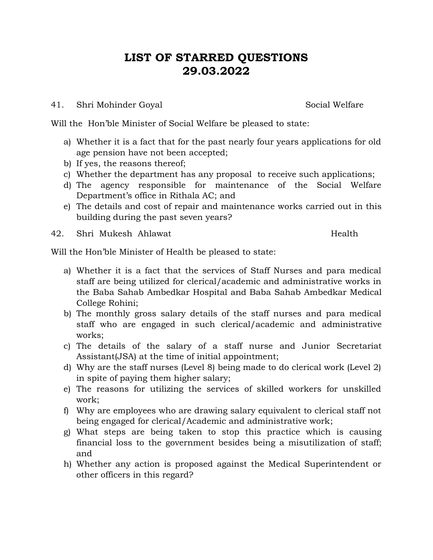# **LIST OF STARRED QUESTIONS 29.03.2022**

41. Shri Mohinder Goyal Social Welfare

Will the Hon'ble Minister of Social Welfare be pleased to state:

- a) Whether it is a fact that for the past nearly four years applications for old age pension have not been accepted;
- b) If yes, the reasons thereof;
- c) Whether the department has any proposal to receive such applications;
- d) The agency responsible for maintenance of the Social Welfare Department's office in Rithala AC; and
- e) The details and cost of repair and maintenance works carried out in this building during the past seven years?

42. Shri Mukesh Ahlawat **Health** 

Will the Hon'ble Minister of Health be pleased to state:

- a) Whether it is a fact that the services of Staff Nurses and para medical staff are being utilized for clerical/academic and administrative works in the Baba Sahab Ambedkar Hospital and Baba Sahab Ambedkar Medical College Rohini;
- b) The monthly gross salary details of the staff nurses and para medical staff who are engaged in such clerical/academic and administrative works;
- c) The details of the salary of a staff nurse and Junior Secretariat Assistant(JSA) at the time of initial appointment;
- d) Why are the staff nurses (Level 8) being made to do clerical work (Level 2) in spite of paying them higher salary;
- e) The reasons for utilizing the services of skilled workers for unskilled work;
- f) Why are employees who are drawing salary equivalent to clerical staff not being engaged for clerical/Academic and administrative work;
- g) What steps are being taken to stop this practice which is causing financial loss to the government besides being a misutilization of staff; and
- h) Whether any action is proposed against the Medical Superintendent or other officers in this regard?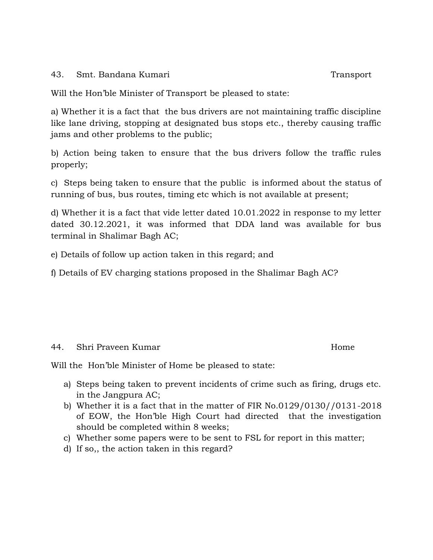43. Smt. Bandana Kumari Transport

Will the Hon'ble Minister of Transport be pleased to state:

a) Whether it is a fact that the bus drivers are not maintaining traffic discipline like lane driving, stopping at designated bus stops etc., thereby causing traffic jams and other problems to the public;

b) Action being taken to ensure that the bus drivers follow the traffic rules properly;

c) Steps being taken to ensure that the public is informed about the status of running of bus, bus routes, timing etc which is not available at present;

d) Whether it is a fact that vide letter dated 10.01.2022 in response to my letter dated 30.12.2021, it was informed that DDA land was available for bus terminal in Shalimar Bagh AC;

e) Details of follow up action taken in this regard; and

f) Details of EV charging stations proposed in the Shalimar Bagh AC?

## 44. Shri Praveen Kumar Home

Will the Hon'ble Minister of Home be pleased to state:

- a) Steps being taken to prevent incidents of crime such as firing, drugs etc. in the Jangpura AC;
- b) Whether it is a fact that in the matter of FIR No.0129/0130//0131-2018 of EOW, the Hon'ble High Court had directed that the investigation should be completed within 8 weeks;
- c) Whether some papers were to be sent to FSL for report in this matter;
- d) If so,, the action taken in this regard?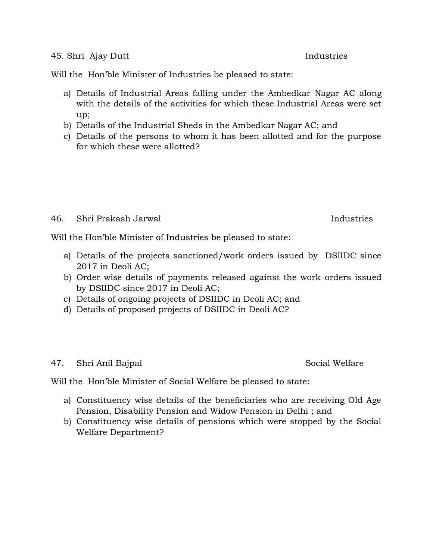#### 45. Shri Ajay Dutt Industries

Will the Hon'ble Minister of Industries be pleased to state:

- a) Details of Industrial Areas falling under the Ambedkar Nagar AC along with the details of the activities for which these Industrial Areas were set up;
- b) Details of the Industrial Sheds in the Ambedkar Nagar AC; and
- c) Details of the persons to whom it has been allotted and for the purpose for which these were allotted?

### 46. Shri Prakash Jarwal Industries

Will the Hon'ble Minister of Industries be pleased to state:

- a) Details of the projects sanctioned/work orders issued by DSIIDC since 2017 in Deoli AC;
- b) Order wise details of payments released against the work orders issued by DSIIDC since 2017 in Deoli AC;
- c) Details of ongoing projects of DSIIDC in Deoli AC; and
- d) Details of proposed projects of DSIIDC in Deoli AC?

## 47. Shri Anil Bajpai Social Welfare

Will the Hon'ble Minister of Social Welfare be pleased to state:

- a) Constituency wise details of the beneficiaries who are receiving Old Age Pension, Disability Pension and Widow Pension in Delhi ; and
- b) Constituency wise details of pensions which were stopped by the Social Welfare Department?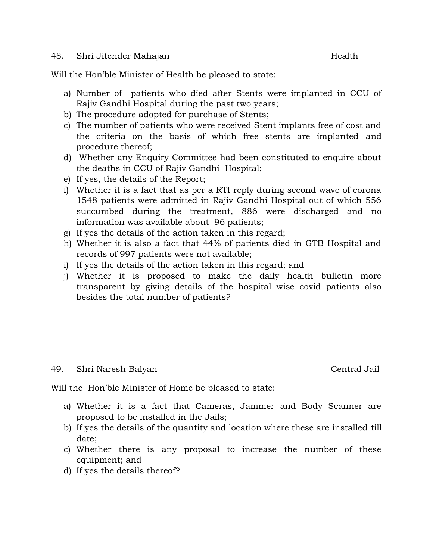#### 48. Shri Jitender Mahajan Health

Will the Hon'ble Minister of Health be pleased to state:

- a) Number of patients who died after Stents were implanted in CCU of Rajiv Gandhi Hospital during the past two years;
- b) The procedure adopted for purchase of Stents;
- c) The number of patients who were received Stent implants free of cost and the criteria on the basis of which free stents are implanted and procedure thereof;
- d) Whether any Enquiry Committee had been constituted to enquire about the deaths in CCU of Rajiv Gandhi Hospital;
- e) If yes, the details of the Report;
- f) Whether it is a fact that as per a RTI reply during second wave of corona 1548 patients were admitted in Rajiv Gandhi Hospital out of which 556 succumbed during the treatment, 886 were discharged and no information was available about 96 patients;
- g) If yes the details of the action taken in this regard;
- h) Whether it is also a fact that 44% of patients died in GTB Hospital and records of 997 patients were not available;
- i) If yes the details of the action taken in this regard; and
- j) Whether it is proposed to make the daily health bulletin more transparent by giving details of the hospital wise covid patients also besides the total number of patients?

## 49. Shri Naresh Balyan Central Jail

Will the Hon'ble Minister of Home be pleased to state:

- a) Whether it is a fact that Cameras, Jammer and Body Scanner are proposed to be installed in the Jails;
- b) If yes the details of the quantity and location where these are installed till date;
- c) Whether there is any proposal to increase the number of these equipment; and
- d) If yes the details thereof?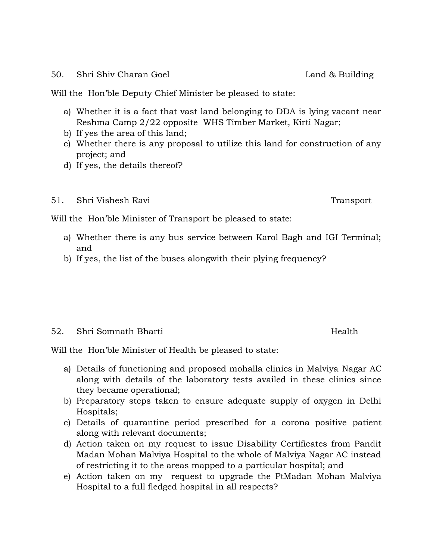#### 50. Shri Shiv Charan Goel **Land & Building**

Will the Hon'ble Deputy Chief Minister be pleased to state:

- a) Whether it is a fact that vast land belonging to DDA is lying vacant near Reshma Camp 2/22 opposite WHS Timber Market, Kirti Nagar;
- b) If yes the area of this land;
- c) Whether there is any proposal to utilize this land for construction of any project; and
- d) If yes, the details thereof?

## 51. Shri Vishesh Ravi Transport

Will the Hon'ble Minister of Transport be pleased to state:

- a) Whether there is any bus service between Karol Bagh and IGI Terminal; and
- b) If yes, the list of the buses alongwith their plying frequency?

## 52. Shri Somnath Bharti Health

Will the Hon'ble Minister of Health be pleased to state:

- a) Details of functioning and proposed mohalla clinics in Malviya Nagar AC along with details of the laboratory tests availed in these clinics since they became operational;
- b) Preparatory steps taken to ensure adequate supply of oxygen in Delhi Hospitals;
- c) Details of quarantine period prescribed for a corona positive patient along with relevant documents;
- d) Action taken on my request to issue Disability Certificates from Pandit Madan Mohan Malviya Hospital to the whole of Malviya Nagar AC instead of restricting it to the areas mapped to a particular hospital; and
- e) Action taken on my request to upgrade the PtMadan Mohan Malviya Hospital to a full fledged hospital in all respects?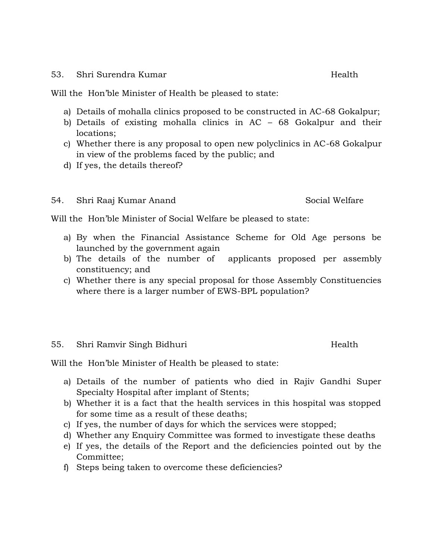#### 53. Shri Surendra Kumar Health

Will the Hon'ble Minister of Health be pleased to state:

- a) Details of mohalla clinics proposed to be constructed in AC-68 Gokalpur;
- b) Details of existing mohalla clinics in AC 68 Gokalpur and their locations;
- c) Whether there is any proposal to open new polyclinics in AC-68 Gokalpur in view of the problems faced by the public; and
- d) If yes, the details thereof?

## 54. Shri Raaj Kumar Anand Social Welfare

Will the Hon'ble Minister of Social Welfare be pleased to state:

- a) By when the Financial Assistance Scheme for Old Age persons be launched by the government again
- b) The details of the number of applicants proposed per assembly constituency; and
- c) Whether there is any special proposal for those Assembly Constituencies where there is a larger number of EWS-BPL population?

## 55. Shri Ramvir Singh Bidhuri **Health**

Will the Hon'ble Minister of Health be pleased to state:

- a) Details of the number of patients who died in Rajiv Gandhi Super Specialty Hospital after implant of Stents;
- b) Whether it is a fact that the health services in this hospital was stopped for some time as a result of these deaths;
- c) If yes, the number of days for which the services were stopped;
- d) Whether any Enquiry Committee was formed to investigate these deaths
- e) If yes, the details of the Report and the deficiencies pointed out by the Committee;
- f) Steps being taken to overcome these deficiencies?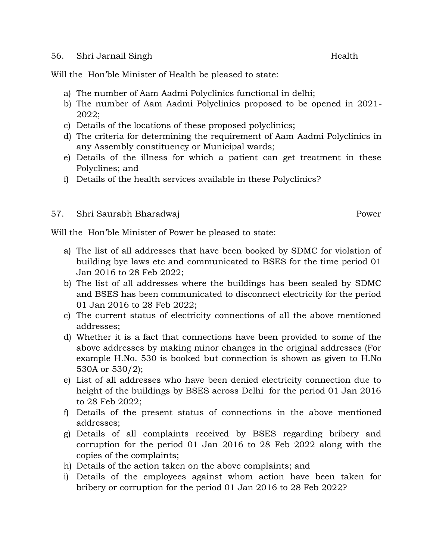#### 56. Shri Jarnail Singh Health

Will the Hon'ble Minister of Health be pleased to state:

- a) The number of Aam Aadmi Polyclinics functional in delhi;
- b) The number of Aam Aadmi Polyclinics proposed to be opened in 2021- 2022;
- c) Details of the locations of these proposed polyclinics;
- d) The criteria for determining the requirement of Aam Aadmi Polyclinics in any Assembly constituency or Municipal wards;
- e) Details of the illness for which a patient can get treatment in these Polyclines; and
- f) Details of the health services available in these Polyclinics?
- 57. Shri Saurabh Bharadwaj Power Power

Will the Hon'ble Minister of Power be pleased to state:

- a) The list of all addresses that have been booked by SDMC for violation of building bye laws etc and communicated to BSES for the time period 01 Jan 2016 to 28 Feb 2022;
- b) The list of all addresses where the buildings has been sealed by SDMC and BSES has been communicated to disconnect electricity for the period 01 Jan 2016 to 28 Feb 2022;
- c) The current status of electricity connections of all the above mentioned addresses;
- d) Whether it is a fact that connections have been provided to some of the above addresses by making minor changes in the original addresses (For example H.No. 530 is booked but connection is shown as given to H.No 530A or 530/2);
- e) List of all addresses who have been denied electricity connection due to height of the buildings by BSES across Delhi for the period 01 Jan 2016 to 28 Feb 2022;
- f) Details of the present status of connections in the above mentioned addresses;
- g) Details of all complaints received by BSES regarding bribery and corruption for the period 01 Jan 2016 to 28 Feb 2022 along with the copies of the complaints;
- h) Details of the action taken on the above complaints; and
- i) Details of the employees against whom action have been taken for bribery or corruption for the period 01 Jan 2016 to 28 Feb 2022?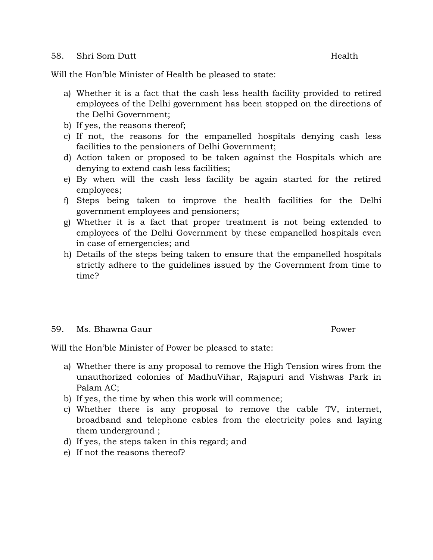#### 58. Shri Som Dutt Nealth

Will the Hon'ble Minister of Health be pleased to state:

- a) Whether it is a fact that the cash less health facility provided to retired employees of the Delhi government has been stopped on the directions of the Delhi Government;
- b) If yes, the reasons thereof;
- c) If not, the reasons for the empanelled hospitals denying cash less facilities to the pensioners of Delhi Government;
- d) Action taken or proposed to be taken against the Hospitals which are denying to extend cash less facilities;
- e) By when will the cash less facility be again started for the retired employees;
- f) Steps being taken to improve the health facilities for the Delhi government employees and pensioners;
- g) Whether it is a fact that proper treatment is not being extended to employees of the Delhi Government by these empanelled hospitals even in case of emergencies; and
- h) Details of the steps being taken to ensure that the empanelled hospitals strictly adhere to the guidelines issued by the Government from time to time?

## 59. Ms. Bhawna Gaur Philipps and the South Power

Will the Hon'ble Minister of Power be pleased to state:

- a) Whether there is any proposal to remove the High Tension wires from the unauthorized colonies of MadhuVihar, Rajapuri and Vishwas Park in Palam AC;
- b) If yes, the time by when this work will commence;
- c) Whether there is any proposal to remove the cable TV, internet, broadband and telephone cables from the electricity poles and laying them underground ;
- d) If yes, the steps taken in this regard; and
- e) If not the reasons thereof?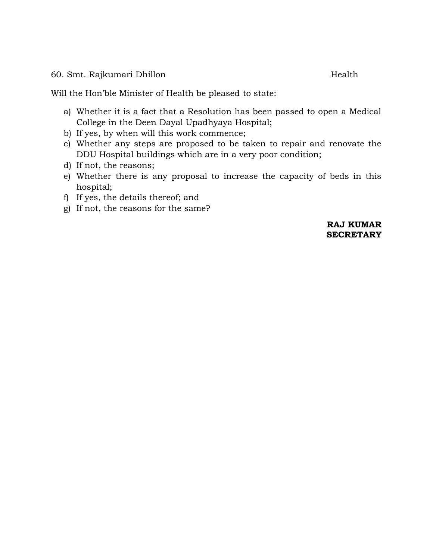60. Smt. Rajkumari Dhillon Health

Will the Hon'ble Minister of Health be pleased to state:

- a) Whether it is a fact that a Resolution has been passed to open a Medical College in the Deen Dayal Upadhyaya Hospital;
- b) If yes, by when will this work commence;
- c) Whether any steps are proposed to be taken to repair and renovate the DDU Hospital buildings which are in a very poor condition;
- d) If not, the reasons;
- e) Whether there is any proposal to increase the capacity of beds in this hospital;
- f) If yes, the details thereof; and
- g) If not, the reasons for the same?

**RAJ KUMAR SECRETARY**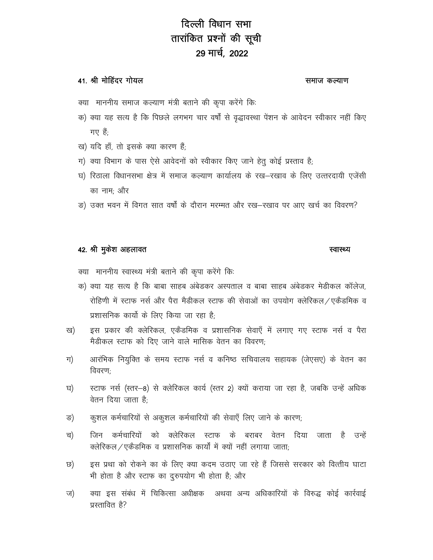# दिल्ली विधान सभा तारांकित प्रश्नों की सूची 29 मार्च, 2022

### 41. श्री मोहिंदर गोयल

#### समाज कल्याण

- क्या माननीय समाज कल्याण मंत्री बताने की कृपा करेंगे कि:
- क) क्या यह सत्य है कि पिछले लगभग चार वर्षों से वृद्धावस्था पेंशन के आवेदन स्वीकार नहीं किए गए $\dot{\vec{B}}$
- ख) यदि हाँ, तो इसके क्या कारण हैं;
- ग) क्या विभाग के पास ऐसे आवेदनों को स्वीकार किए जाने हेतु कोई प्रस्ताव है;
- घ) रिठाला विधानसभा क्षेत्र में समाज कल्याण कार्यालय के रख-रखाव के लिए उत्तरदायी एजेंसी का नाम: और
- ङ) उक्त भवन में विगत सात वर्षों के दौरान मरम्मत और रख-रखाव पर आए खर्च का विवरण?

#### 42. श्री मुकेश अहलावत

#### स्वास्थ्य

क्या) माननीय स्वास्थ्य मंत्री बताने की कृपा करेंगे कि:

- क) क्या यह सत्य है कि बाबा साहब अंबेडकर अस्पताल व बाबा साहब अंबेडकर मेडीकल कॉलेज, रोहिणी में स्टाफ नर्स और पैरा मैडीकल स्टाफ की सेवाओं का उपयोग क्लेरिकल /एकैडमिक व प्रशासनिक कार्यो के लिए किया जा रहा है:
- इस प्रकार की क्लेरिकल, एकैडमिक व प्रशासनिक सेवाएँ में लगाए गए स्टाफ नर्स व पैरा ख) मैडीकल स्टाफ को दिए जाने वाले मासिक वेतन का विवरण:
- आरंभिक नियुक्ति के समय स्टाफ नर्स व कनिष्ठ सचिवालय सहायक (जेएसए) के वेतन का ग) विवरण:
- स्टाफ नर्स (स्तर–8) से क्लेरिकल कार्य (स्तर 2) क्यों कराया जा रहा है, जबकि उन्हें अधिक घ) वेतन दिया जाता है:
- कुशल कर्मचारियों से अकुशल कर्मचारियों की सेवाएँ लिए जाने के कारण; ङ)
- च) जिन कर्मचारियों को क्लेरिकल स्टाफ के बराबर वेतन दिया जाता है उन्हें क्लेरिकल / एकैडमिक व प्रशासनिक कार्यों में क्यों नहीं लगाया जाता;
- इस प्रथा को रोकने का के लिए क्या कदम उठाए जा रहे हैं जिससे सरकार को वित्तीय घाटा छ) भी होता है और स्टाफ का दुरुपयोग भी होता है; और
- ज) क्या इस संबंध में चिकित्सा अधीक्षक अथवा अन्य अधिकारियों के विरुद्ध कोई कार्रवाई प्रस्तावित है?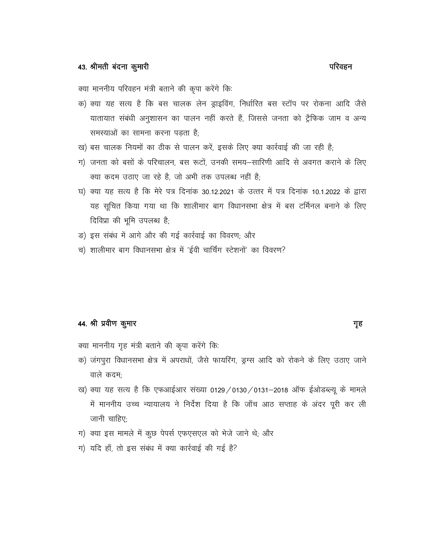परिवहन

क्या माननीय परिवहन मंत्री बताने की कृपा करेंगे कि:

- क) क्या यह सत्य है कि बस चालक लेन ड्राइविंग, निर्धारित बस स्टॉप पर रोकना आदि जैसे यातायात संबंधी अनुशासन का पालन नहीं करते हैं, जिससे जनता को ट्रैफिक जाम व अन्य समस्याओं का सामना करना पड़ता है:
- ख) बस चालक नियमों का ठीक से पालन करें, इसके लिए क्या कार्रवाई की जा रही है;
- ग) जनता को बसों के परिचालन, बस रूटों, उनकी समय–सारिणी आदि से अवगत कराने के लिए क्या कदम उठाए जा रहे है, जो अभी तक उपलब्ध नहीं है;
- घ) क्या यह सत्य है कि मेरे पत्र दिनांक 30.12.2021 के उत्तर में पत्र दिनांक 10.1.2022 के द्वारा यह सूचित किया गया था कि शालीमार बाग विधानसभा क्षेत्र में बस टर्मिनल बनाने के लिए दिविप्रा की भूमि उपलब्ध है;
- ङ) इस संबंध में आगे और की गई कार्रवाई का विवरण; और
- च) शालीमार बाग विधानसभा क्षेत्र में 'ईवी चार्चिंग स्टेशनों' का विवरण?

# 44. श्री प्रवीण कुमार

#### गृह

- क्या माननीय गृह मंत्री बताने की कृपा करेंगे कि:
- क) जंगपुरा विधानसभा क्षेत्र में अपराधों, जैसे फायरिंग, ड्रग्स आदि को रोकने के लिए उठाए जाने वाले कदम:
- ख) क्या यह सत्य है कि एफआईआर संख्या 0129 / 0130 / 0131-2018 ऑफ ईओडब्ल्यू के मामले में माननीय उच्च न्यायालय ने निर्देश दिया है कि जाँच आठ सप्ताह के अंदर पूरी कर ली जानी चाहिए:
- ग) क्या इस मामले में कुछ पेपर्स एफएसएल को भेजे जाने थे; और
- ग) यदि हाँ, तो इस संबंध में क्या कार्रवाई की गई है?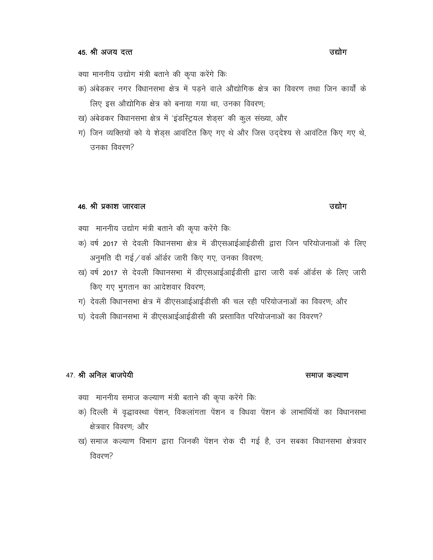क्या माननीय उद्योग मंत्री बताने की कृपा करेंगे कि:

- क) अंबेडकर नगर विधानसभा क्षेत्र में पडने वाले औद्योगिक क्षेत्र का विवरण तथा जिन कार्यों के लिए इस औद्योगिक क्षेत्र को बनाया गया था, उनका विवरण;
- ख) अंबेडकर विधानसभा क्षेत्र में 'इंडस्ट्रियल शेड्स' की कुल संख्या, और
- ग) जिन व्यक्तियों को ये शेड्स आवंटित किए गए थे और जिस उद्देश्य से आवंटित किए गए थे, उनका विवरण?

#### 46. श्री प्रकाश जारवाल

क्या माननीय उद्योग मंत्री बताने की कृपा करेंगे कि:

- क) वर्ष 2017 से देवली विधानसभा क्षेत्र में डीएसआईआईडीसी द्वारा जिन परियोजनाओं के लिए अनुमति दी गई / वर्क ऑर्डर जारी किए गए, उनका विवरण;
- ख) वर्ष 2017 से देवली विधानसभा में डीएसआईआईडीसी द्वारा जारी वर्क ऑर्डस के लिए जारी किए गए भुगतान का आदेशवार विवरण;
- ग) देवली विधानसभा क्षेत्र में डीएसआईआईडीसी की चल रही परियोजनाओं का विवरण; और
- घ) देवली विधानसभा में डीएसआईआईडीसी की प्रस्तावित परियोजनाओं का विवरण?

#### 47. श्री अनिल बाजपेयी

# समाज कल्याण

- क्या माननीय समाज कल्याण मंत्री बताने की कृपा करेंगे कि:
- क) दिल्ली में वृद्धावस्था पेंशन, विकलांगता पेंशन व विधवा पेंशन के लाभार्थियों का विधानसभा क्षेत्रवार विवरण; और
- ख) समाज कल्याण विभाग द्वारा जिनकी पेंशन रोक दी गई है, उन सबका विधानसभा क्षेत्रवार विवरण?

#### उद्योग

### उद्योग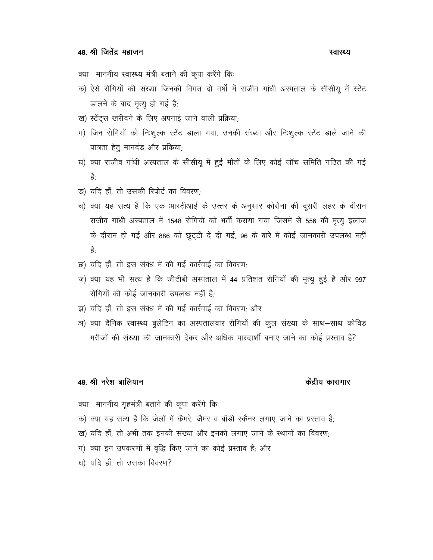### 48. श्री जितेंद्र महाजन

#### स्वास्थ्य

क्या माननीय स्वास्थ्य मंत्री बताने की कृपा करेंगे कि:

- क) ऐसे रोगियों की संख्या जिनकी विगत दो वर्षों में राजीव गांधी अस्पताल के सीसीयू में स्टेंट डालने के बाद मृत्यु हो गई है;
- ख) स्टेंटस खरीदने के लिए अपनाई जाने वाली प्रक्रिया;
- ग) जिन रोगियों को निःशुल्क स्टेंट डाला गया, उनकी संख्या और निःशुल्क स्टेंट डाले जाने की पात्रता हेतु मानदंड और प्रकिया;
- घ) क्या राजीव गांधी अस्पताल के सीसीयू में हुई मौतों के लिए कोई जाँच समिति गठित की गई है-
- ङ) यदि हाँ, तो उसकी रिपोर्ट का विवरण;
- च) क्या यह सत्य है कि एक आरटीआई के उत्तर के अनुसार कोरोना की दूसरी लहर के दौरान राजीव गांधी अस्पताल में 1548 रोगियों को भर्ती कराया गया जिसमें से 556 की मृत्यु इलाज के दौरान हो गई और 886 को छुट्टी दे दी गई, 96 के बारे में कोई जानकारी उपलब्ध नहीं हे.
- छ) यदि हाँ, तो इस संबंध में की गई कार्रवाई का विवरण;
- ज) क्या यह भी सत्य है कि जीटीबी अस्पताल में 44 प्रतिशत रोगियों की मृत्यु हुई है और 997 रोगियों की कोई जानकारी उपलब्ध नहीं है;
- झ) यदि हाँ, तो इस संबंध में की गई कार्रवाई का विवरण; और
- ञ) क्या दैनिक स्वास्थ्य बुलेटिन का अस्पतालवार रोगियों की कुल संख्या के साथ–साथ कोविड मरीजों की संख्या की जानकारी देकर और अधिक पारदार्शी बनाए जाने का कोई प्रस्ताव है?

#### 49. श्री नरेश बालियान

#### केंद्रीय कारागार

क्या माननीय गृहमंत्री बताने की कृपा करेंगे कि:

- क) क्या यह सत्य है कि जेलों में कैमरे, जैमर व बॉडी स्कैनर लगाए जाने का प्रस्ताव है;
- ख) यदि हाँ, तो अभी तक इनकी संख्या और इनको लगाए जाने के स्थानों का विवरण;
- ग) क्या इन उपकरणों में वृद्धि किए जाने का कोई प्रस्ताव है; और
- घ) यदि हाँ, तो उसका विवरण?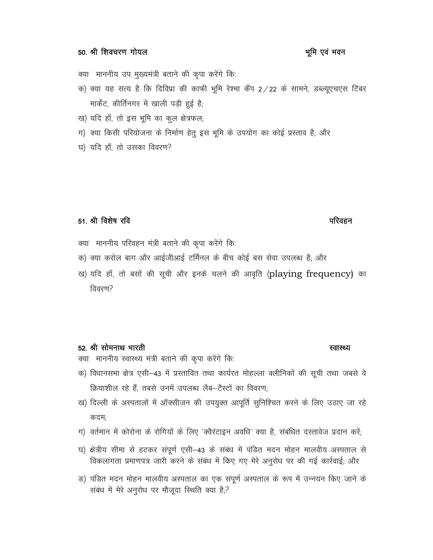#### 50. श्री शिवचरण गोयल

#### क्या) माननीय उप मुख्यमंत्री बताने की कृपा करेंगे कि:

- क) क्या यह सत्य है कि दिविप्रा की काफी भूमि रेश्मा कैंप 2/22 के सामने, डब्ल्यूएचएस टिंबर मार्केट, कीर्तिनगर में खाली पड़ी हुई है;
- ख) यदि हाँ, तो इस भूमि का कुल क्षेत्रफल;
- ग) क्या किसी परियोजना के निर्माण हेतु इस भूमि के उपयोग का कोई प्रस्ताव है; और
- घ) यदि हाँ, तो उसका विवरण?

## 51. श्री विशेष रवि

- क्या माननीय परिवहन मंत्री बताने की कृपा करेंगे कि:
- क) क्या करोल बाग और आईजीआई टर्मिनल के बीच कोई बस सेवा उपलब्ध है; और
- ख) यदि हाँ, तो बसों की सूची और इनके चलने की आवृति (playing frequency) का विवरण?

#### 52. श्री सोमनाथ भारती

क्या माननीय स्वास्थ्य मंत्री बताने की कृपा करेंगे कि:

- क) विधानसभा क्षेत्र एसी-43 में प्रस्तावित तथा कार्यरत मोहल्ला क्लीनिकों की सूची तथा जबसे वे क्रियाशील रहे हैं. तबसे उनमें उपलब्ध लैब-टैस्टों का विवरण:
- ख) दिल्ली के अस्पतालों में ऑक्सीजन की उपयुक्त आपूर्ति सुनिश्चित करने के लिए उठाए जा रहे कदम:
- ग) वर्तमान में कोरोना के रोगियों के लिए 'क्वैरंटाइन अवधि' क्या है, संबंधित दस्तावेज प्रदान करें;
- घ) क्षेत्रीय सीमा से हटकर संपूर्ण एसी-43 के संबंध में पंडित मदन मोहन मालवीय अस्पताल से विकलांगता प्रमाणपत्र जारी करने के संबंध में किए गए मेरे अनुरोध पर की गई कार्रवाई; और
- ङ) पंडित मदन मोहन मालवीय अस्पताल का एक संपूर्ण अस्पताल के रूप में उन्नयन किए जाने के संबंध में मेरे अनुरोध पर मौजूदा स्थिति क्या है;?

#### भूमि एवं भवन

# स्वास्थ्य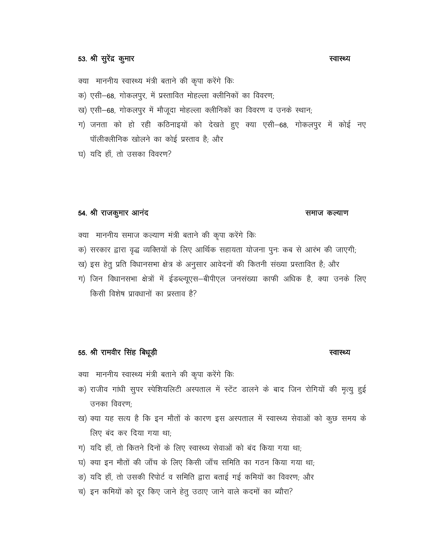क्या माननीय स्वास्थ्य मंत्री बताने की कृपा करेंगे कि:

- क) एसी-68, गोकलपूर, में प्रस्तावित मोहल्ला क्लीनिकों का विवरण;
- ख) एसी-68, गोकलपुर में मौजूदा मोहल्ला क्लीनिकों का विवरण व उनके स्थान;
- ग) जनता को हो रही कठिनाइयों को देखते हुए क्या एसी–68, गोकलपुर में कोई नए पॉलीक्लीनिक खोलने का कोई प्रस्ताव है; और
- घ) यदि हाँ, तो उसका विवरण?

#### 54. श्री राजकुमार आनंद

#### समाज कल्याण

स्वास्थ्य

क्या माननीय समाज कल्याण मंत्री बताने की कृपा करेंगे कि:

- क) सरकार द्वारा वृद्ध व्यक्तियों के लिए आर्थिक सहायता योजना पुनः कब से आरंभ की जाएगी;
- ख) इस हेतु प्रति विधानसभा क्षेत्र के अनुसार आवेदनों की कितनी संख्या प्रस्तावित है; और
- ग) जिन विधानसभा क्षेत्रों में ईडब्ल्यूएस–बीपीएल जनसंख्या काफी अधिक है, क्या उनके लिए किसी विशेष प्रावधानों का प्रस्ताव है?

## 55. श्री रामवीर सिंह बिधूड़ी

# क्या माननीय स्वास्थ्य मंत्री बताने की कृपा करेंगे कि:

- क) राजीव गांधी सुपर स्पेशियलिटी अस्पताल में स्टेंट डालने के बाद जिन रोगियों की मृत्यु हुई उनका विवरण:
- ख) क्या यह सत्य है कि इन मौतों के कारण इस अस्पताल में स्वास्थ्य सेवाओं को कुछ समय के लिए बंद कर दिया गया था:
- ग) यदि हाँ, तो कितने दिनों के लिए स्वास्थ्य सेवाओं को बंद किया गया था;
- घ) क्या इन मौतों की जाँच के लिए किसी जाँच समिति का गठन किया गया था;
- ङ) यदि हाँ, तो उसकी रिपोर्ट व समिति द्वारा बताई गई कमियों का विवरण; और
- च) इन कमियों को दूर किए जाने हेतु उठाए जाने वाले कदमों का ब्यौरा?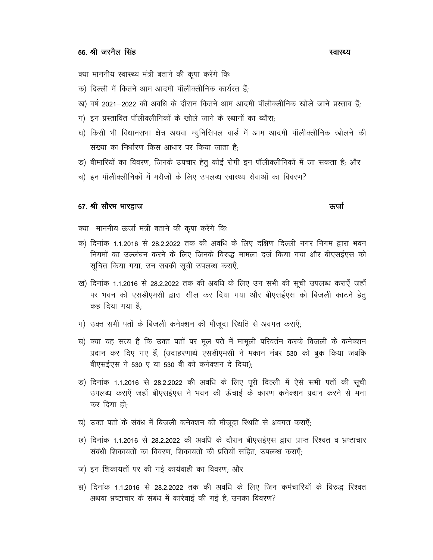क्या माननीय स्वास्थ्य मंत्री बताने की कृपा करेंगे कि:

- क) दिल्ली में कितने आम आदमी पॉलीक्लीनिक कार्यरत हैं:
- ख) वर्ष 2021–2022 की अवधि के दौरान कितने आम आदमी पॉलीक्लीनिक खोले जाने प्रस्ताव हैं:
- ग) इन प्रस्तावित पॉलीक्लीनिकों के खोले जाने के स्थानों का ब्यौरा;
- घ) किसी भी विधानसभा क्षेत्र अथवा म्युनिसिपल वार्ड में आम आदमी पॉलीक्लीनिक खोलने की संख्या का निर्धारण किस आधार पर किया जाता है;
- ङ) बीमारियों का विवरण, जिनके उपचार हेतु कोई रोगी इन पॉलीक्लीनिकों में जा सकता है; और
- च) इन पॉलीक्लीनिकों में मरीजों के लिए उपलब्ध स्वास्थ्य सेवाओं का विवरण?

#### 57. श्री सौरभ भारद्वाज

क्या) माननीय ऊर्जा मंत्री बताने की कृपा करेंगे कि:

- क) दिनांक 1.1.2016 से 28.2.2022 तक की अवधि के लिए दक्षिण दिल्ली नगर निगम द्वारा भवन नियमों का उल्लंघन करने के लिए जिनके विरुद्ध मामला दर्ज किया गया और बीएसईएस को सूचित किया गया, उन सबकी सूची उपलब्ध कराएँ,
- ख) दिनांक 1.1.2016 से 28.2.2022 तक की अवधि के लिए उन सभी की सूची उपलब्ध कराएँ जहाँ पर भवन को एसडीएमसी द्वारा सील कर दिया गया और बीएसईएस को बिजली काटने हेतु कह दिया गया है<sup>.</sup>
- ग) उक्त सभी पतों के बिजली कनेक्शन की मौजूदा स्थिति से अवगत कराएँ;
- घ) क्या यह सत्य है कि उक्त पतों पर मूल पते में मामूली परिवर्तन करके बिजली के कनेक्शन प्रदान कर दिए गए हैं, (उदाहरणार्थ एसडीएमसी ने मकान नंबर 530 को बुक किया जबकि बीएसईएस ने 530 ए या 530 बी को कनेक्शन दे दिया);
- ङ) दिनांक 1.1.2016 से 28.2.2022 की अवधि के लिए पूरी दिल्ली में ऐसे सभी पतों की सूची उपलब्ध कराएँ जहाँ बीएसईएस ने भवन की ऊँचाई के कारण कनेक्शन प्रदान करने से मना कर दिया हो:
- च) उक्त पतों के संबंध में बिजली कनेक्शन की मौजूदा स्थिति से अवगत कराएँ;
- छ) दिनांक 1.1.2016 से 28.2.2022 की अवधि के दौरान बीएसईएस द्वारा प्राप्त रिश्वत व भ्रष्टाचार संबंधी शिकायतों का विवरण, शिकायतों की प्रतियों सहित, उपलब्ध कराएँ;
- ज) इन शिकायतों पर की गई कार्यवाही का विवरण; और
- झ) दिनांक 1.1.2016 से 28.2.2022 तक की अवधि के लिए जिन कर्मचारियों के विरुद्ध रिश्वत अथवा भ्रष्टाचार के संबंध में कार्रवाई की गई है, उनका विवरण?

#### स्वास्थ्य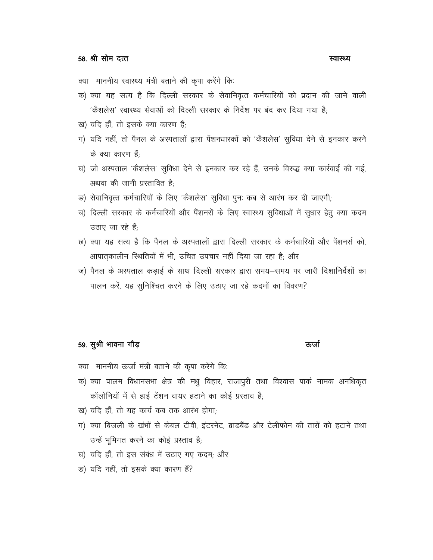#### स्वास्थ्य

- क्या माननीय स्वास्थ्य मंत्री बताने की कृपा करेंगे कि:
- क) क्या यह सत्य है कि दिल्ली सरकार के सेवानिवृत्त कर्मचारियों को प्रदान की जाने वाली 'कैशलेस' स्वास्थ्य सेवाओं को दिल्ली सरकार के निर्देश पर बंद कर दिया गया है:
- ख) यदि हाँ, तो इसके क्या कारण हैं;
- ग) यदि नहीं, तो पैनल के अस्पतालों द्वारा पेंशनधारकों को 'कैशलेस' सुविधा देने से इनकार करने के क्या कारण हैं
- घ) जो अस्पताल 'कैशलेस' सुविधा देने से इनकार कर रहे हैं, उनके विरुद्ध क्या कार्रवाई की गई, अथवा की जानी प्रस्तावित है:
- ङ) सेवानिवृत्त कर्मचारियों के लिए 'कैशलेस' सुविधा पुनः कब से आरंभ कर दी जाएगी;
- च) दिल्ली सरकार के कर्मचारियों और पैंशनरों के लिए स्वास्थ्य सुविधाओं में सुधार हेतु क्या कदम उठाए जा रहे हैं:
- छ) क्या यह सत्य है कि पैनल के अस्पतालों द्वारा दिल्ली सरकार के कर्मचारियों और पेंशनर्स को, आपात्कालीन स्थितियों में भी, उचित उपचार नहीं दिया जा रहा है; और
- ज) पैनल के अस्पताल कड़ाई के साथ दिल्ली सरकार द्वारा समय—समय पर जारी दिशानिर्देशों का पालन करें, यह सुनिश्चित करने के लिए उठाए जा रहे कदमों का विवरण?

### 59. सुश्री भावना गौड़

#### ऊर्जा

क्या माननीय ऊर्जा मंत्री बताने की कृपा करेंगे कि:

- क) क्या पालम विधानसभा क्षेत्र की मधु विहार, राजापुरी तथा विश्वास पार्क नामक अनधिकृत कॉलोनियों में से हाई टेंशन वायर हटाने का कोई प्रस्ताव है:
- ख) यदि हाँ, तो यह कार्य कब तक आरंभ होगा:
- ग) क्या बिजली के खंभों से केबल टीवी, इंटरनेट, ब्राडबैंड और टेलीफोन की तारों को हटाने तथा उन्हें भूमिगत करने का कोई प्रस्ताव है;
- घ) यदि हाँ, तो इस संबंध में उठाए गए कदम, और
- ङ) यदि नहीं, तो इसके क्या कारण हैं?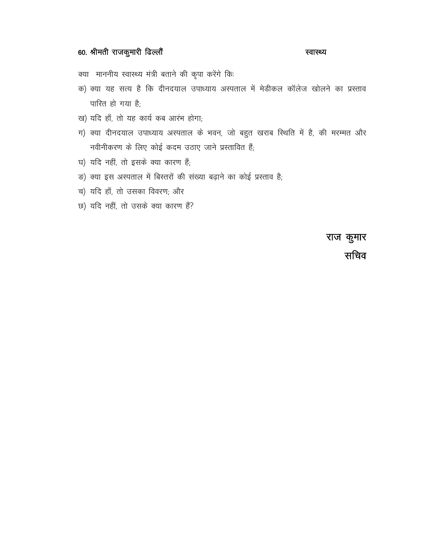# 60. श्रीमती राजकुमारी ढिल्लौं

#### स्वास्थ्य

क्या माननीय स्वास्थ्य मंत्री बताने की कृपा करेंगे कि:

- क) क्या यह सत्य है कि दीनदयाल उपाध्याय अस्पताल में मेडीकल कॉलेज खोलने का प्रस्ताव पारित हो गया है;
- ख) यदि हाँ, तो यह कार्य कब आरंभ होगा;
- ग) क्या दीनदयाल उपाध्याय अस्पताल के भवन, जो बहुत खराब स्थिति में है, की मरम्मत और नवीनीकरण के लिए कोई कदम उठाए जाने प्रस्तावित हैं;
- घ) यदि नहीं, तो इसके क्या कारण हैं;
- ङ) क्या इस अस्पताल में बिस्तरों की संख्या बढ़ाने का कोई प्रस्ताव है;
- च) यदि हाँ, तो उसका विवरण; और
- छ) यदि नहीं, तो उसके क्या कारण हैं?

राज कुमार सचिव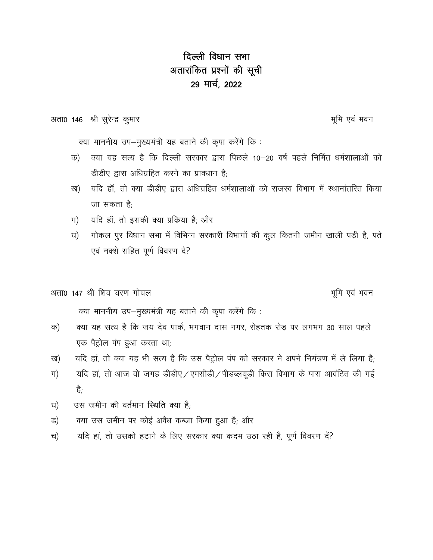# दिल्ली विधान सभा अतारांकित प्रश्नों की सूची 29 मार्च, 2022

अता0 146 श्री सुरेन्द्र कुमार

भूमि एवं भवन

क्या माननीय उप-मुख्यमंत्री यह बताने की कृपा करेंगे कि:

- क्या यह सत्य है कि दिल्ली सरकार द्वारा पिछले 10–20 वर्ष पहले निर्मित धर्मशालाओं को क) डीडीए द्वारा अधिग्रहित करने का प्रावधान है:
- यदि हाँ, तो क्या डीडीए द्वारा अधिग्रहित धर्मशालाओं को राजस्व विभाग में स्थानांतरित किया ख) जा सकता है:
- यदि हॉं, तो इसकी क्या प्रक्रिया है; और ग)
- गोकल पुर विधान सभा में विभिन्न सरकारी विभागों की कुल कितनी जमीन खाली पड़ी है, पते घ) एवं नक्शे सहित पूर्ण विवरण दे?

अता0 147 श्री शिव चरण गोयल

भूमि एवं भवन

क्या माननीय उप-मुख्यमंत्री यह बताने की कृपा करेंगे कि:

- क्या यह सत्य है कि जय देव पार्क, भगवान दास नगर, रोहतक रोड पर लगभग 30 साल पहले क) एक पैट्रोल पंप हुआ करता था;
- यदि हां, तो क्या यह भी सत्य है कि उस पैट्रोल पंप को सरकार ने अपने नियंत्रण में ले लिया है; ख)
- यदि हां, तो आज वो जगह डीडीए / एमसीडी / पीडब्लयूडी किस विभाग के पास आवंटित की गई ग) ੜ੍ਹੇ.
- उस जमीन की वर्तमान स्थिति क्या है: घ)
- क्या उस जमीन पर कोई अवैध कब्जा किया हुआ है; और ड)
- यदि हां, तो उसको हटाने के लिए सरकार क्या कदम उठा रही है, पूर्ण विवरण दें? च)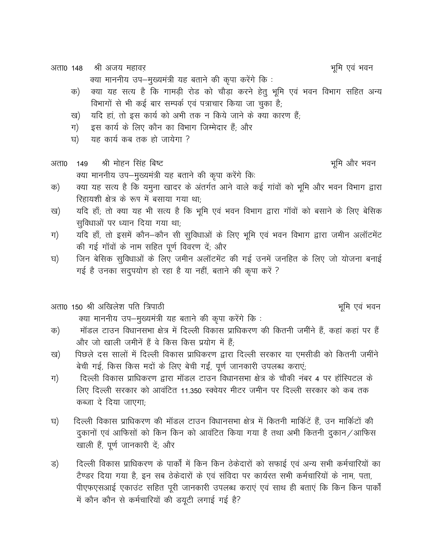अता0 148 श्री अजय महावर

क्या माननीय उप-मुख्यमंत्री यह बताने की कृपा करेंगे कि:

- क्या यह सत्य है कि गामड़ी रोड को चौड़ा करने हेतू भूमि एवं भवन विभाग सहित अन्य क) विभागों से भी कई बार सम्पर्क एवं पत्राचार किया जा चुका है;
- यदि हां, तो इस कार्य को अभी तक न किये जाने के क्या कारण हैं; ख)
- इस कार्य के लिए कौन का विभाग जिम्मेदार हैं; और ग)
- यह कार्य कब तक हो जायेगा ? घ)

#### श्री मोहन सिंह बिष्ट भूमि और भवन अता0 149 क्या माननीय उप-मुख्यमंत्री यह बताने की कृपा करेंगे कि:

- क्या यह सत्य है कि यमुना खादर के अंतर्गत आने वाले कई गांवों को भूमि और भवन विभाग द्वारा क) रिहायशी क्षेत्र के रूप में बसाया गया था:
- यदि हाँ; तो क्या यह भी सत्य है कि भूमि एवं भवन विभाग द्वारा गाँवों को बसाने के लिए बेसिक ख) सुविधाओं पर ध्यान दिया गया था;
- यदि हाँ, तो इसमें कौन-कौन सी सुविधाओं के लिए भूमि एवं भवन विभाग द्वारा जमीन अलॉटमेंट ग) की गई गाँवों के नाम सहित पूर्ण विवरण दें; और
- जिन बेसिक सुविधाओं के लिए जमीन अलॉटमेंट की गई उनमें जनहित के लिए जो योजना बनाई घ) गई है उनका सदुपयोग हो रहा है या नहीं, बताने की कृपा करें ?

## अता0 150 श्री अखिलेश पति त्रिपाठी

क्या माननीय उप-मुख्यमंत्री यह बताने की कृपा करेंगे कि:

- मॉडल टाउन विधानसभा क्षेत्र में दिल्ली विकास प्राधिकरण की कितनी जमींने हैं, कहां कहां पर हैं क) और जो खाली जमीनें हैं वे किस किस प्रयोग में हैं:
- पिछले दस सालों में दिल्ली विकास प्राधिकरण द्वारा दिल्ली सरकार या एमसीडी को कितनी जमींने ख) बेची गई, किस किस मदों के लिए बेची गईं, पूर्ण जानकारी उपलब्ध कराएं;
- दिल्ली विकास प्राधिकरण द्वारा मॉडल टाउन विधानसभा क्षेत्र के चौकी नंबर 4 पर हॉस्पिटल के ग) लिए दिल्ली सरकार को आवंटित 11.350 स्क्वेयर मीटर जमीन पर दिल्ली सरकार को कब तक कब्जा दे दिया जाएगा:
- दिल्ली विकास प्राधिकरण की मॉडल टाउन विधानसभा क्षेत्र में कितनी मार्किटें हैं, उन मार्किटों की घ) दुकानों एवं आफिसों को किन किन को आवंटित किया गया है तथा अभी कितनी दुकान/आफिस खाली हैं, पूर्ण जानकारी दें; और
- दिल्ली विकास प्राधिकरण के पार्कों में किन किन ठेकेदारों को सफाई एवं अन्य सभी कर्मचारियों का ड) टैण्डर दिया गया है, इन सब ठेकेदारों के एवं संविदा पर कार्यरत सभी कर्मचारियों के नाम, पता, पीएफएसआई एकाउंट सहित पूरी जानकारी उपलब्ध कराएं एवं साथ ही बताएं कि किन किन पार्कों में कौन कौन से कर्मचारियों की डयूटी लगाई गई है?

भूमि एवं भवन

भूमि एवं भवन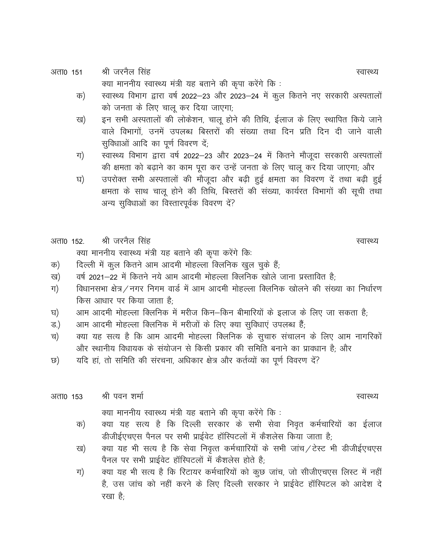- श्री जरनैल सिंह अता0 151 क्या माननीय स्वास्थ्य मंत्री यह बताने की कृपा करेंगे कि:
	- स्वास्थ्य विभाग द्वारा वर्ष 2022–23 और 2023–24 में कूल कितने नए सरकारी अस्पतालों क) को जनता के लिए चालू कर दिया जाएगा;
	- इन सभी अस्पतालों की लोकेशन, चालू होने की तिथि, ईलाज के लिए स्थापित किये जाने ख) वाले विभागों, उनमें उपलब्ध बिस्तरों की संख्या तथा दिन प्रति दिन दी जाने वाली सुविधाओं आदि का पूर्ण विवरण दें:
	- स्वास्थ्य विभाग द्वारा वर्ष 2022–23 और 2023–24 में कितने मौजूदा सरकारी अस्पतालों ग) की क्षमता को बढ़ाने का काम पूरा कर उन्हें जनता के लिए चालू कर दिया जाएगा; और
	- उपरोक्त सभी अस्पतालों की मौजूदा और बढ़ी हुई क्षमता का विवरण दें तथा बढ़ी हुई घ) क्षमता के साथ चालू होने की तिथि, बिस्तरों की संख्या, कार्यरत विभागों की सूची तथा अन्य सुविधाओं का विस्तारपूर्वक विवरण दें?

#### श्री जरनैल सिंह अता0 152

क्या माननीय स्वास्थ्य मंत्री यह बताने की कृपा करेंगे कि:

- दिल्ली में कुल कितने आम आदमी मोहल्ला क्लिनिक खुल चुके हैं: क)
- वर्ष 2021–22 में कितने नये आम आदमी मोहल्ला क्लिनिक खोले जाना प्रस्तावित है: ख)
- विधानसभा क्षेत्र / नगर निगम वार्ड में आम आदमी मोहल्ला क्लिनिक खोलने की संख्या का निर्धारण ग) किस आधार पर किया जाता है
- आम आदमी मोहल्ला क्लिनिक में मरीज किन-किन बीमारियों के इलाज के लिए जा सकता है; घ)
- आम आदमी मोहल्ला क्लिनिक में मरीजों के लिए क्या सुविधाएं उपलब्ध हैं; ड.)
- क्या यह सत्य है कि आम आदमी मोहल्ला क्लिनिक के सुचारु संचालन के लिए आम नागरिकों च) और स्थानीय विधायक के संयोजन से किसी प्रकार की समिति बनाने का प्रावधान है; और
- यदि हां, तो समिति की संरचना, अधिकार क्षेत्र और कर्तव्यों का पूर्ण विवरण दें? ত)

#### श्री पवन शर्मा अता0 153 क्या माननीय स्वास्थ्य मंत्री यह बताने की कृपा करेंगे कि :

- क्या यह सत्य है कि दिल्ली सरकार के सभी सेवा निवृत कर्मचारियों का ईलाज क) डीजीईएचएस पैनल पर सभी प्राईवेट हॉस्पिटलों में कैशलेस किया जाता है;
- क्या यह भी सत्य है कि सेवा निवृत्त कर्मचाारियों के सभी जांच / टेस्ट भी डीजीईएचएस ख) पैनल पर सभी प्राईवेट हॉस्पिटलों में कैशलेस होते है;
- क्या यह भी सत्य है कि रिटायर कर्मचारियों को कूछ जांच, जो सीजीएचएस लिस्ट में नहीं ग) है, उस जांच को नहीं करने के लिए दिल्ली सरकार ने प्राईवेट हॉस्पिटल को आदेश दे रखा है-

स्वास्थ्य

स्वास्थ्य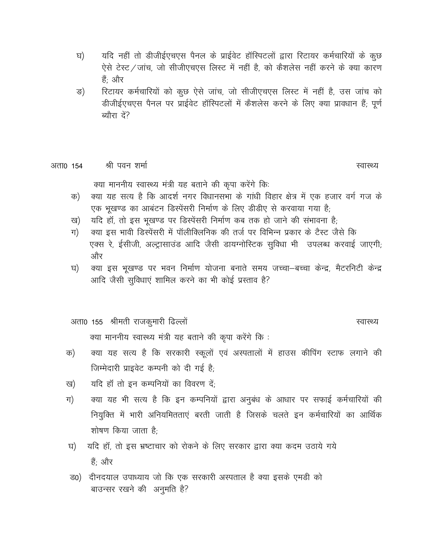- यदि नहीं तो डीजीईएचएस पैनल के प्राईवेट हॉस्पिटलों द्वारा रिटायर कर्मचारियों के कुछ घ) ऐसे टेस्ट / जांच, जो सीजीएचएस लिस्ट में नहीं है, को कैशलेस नहीं करने के क्या कारण हैं: और
- रिटायर कर्मचारियों को कुछ ऐसे जांच, जो सीजीएचएस लिस्ट में नहीं है, उस जांच को ङ) डीजीईएचएस पैनल पर प्राईवेट हॉस्पिटलों में कैशलेस करने के लिए क्या प्रावधान हैं; पूर्ण ब्यौरा दें?

#### श्री पवन शर्मा अता0 154

स्वास्थ्य

क्या माननीय स्वास्थ्य मंत्री यह बताने की कृपा करेंगे कि:

- क्या यह सत्य है कि आदर्श नगर विधानसभा के गांधी विहार क्षेत्र में एक हजार वर्ग गज के क) एक भूखण्ड का आबंटन डिस्पेंसरी निर्माण के लिए डीडीए से करवाया गया है;
- यदि हॉ, तो इस भूखण्ड पर डिस्पेंसरी निर्माण कब तक हो जाने की संभावना है; ख)
- क्या इस भावी डिस्पेंसरी में पॉलीक्लिनिक की तर्ज पर विभिन्न प्रकार के टैस्ट जैसे कि ग) एक्स रे, ईसीजी, अल्ट्रासाउंड आदि जैसी डायग्नोस्टिक सुविधा भी उपलब्ध करवाई जाएगी; और
- क्या इस भूखण्ड पर भवन निर्माण योजना बनाते समय जच्चा–बच्चा केन्द्र, मैटरनिटी केन्द्र घ) आदि जैसी सुविधाएं शामिल करने का भी कोई प्रस्ताव है?

अता0 155 श्रीमती राजकुमारी ढिल्लों

स्वास्थ्य

क्या माननीय स्वास्थ्य मंत्री यह बताने की कृपा करेंगे कि :

- क्या यह सत्य है कि सरकारी स्कूलों एवं अस्पतालों में हाउस कीपिंग स्टाफ लगाने की क) जिम्मेदारी प्राइवेट कम्पनी को दी गई है:
- यदि हाँ तो इन कम्पनियों का विवरण दें: ख)
- क्या यह भी सत्य है कि इन कम्पनियों द्वारा अनुबंध के आधार पर सफाई कर्मचारियों की ग) नियुक्ति में भारी अनियमितताएं बरती जाती है जिसके चलते इन कर्मचारियों का आर्थिक शोषण किया जाता है:
- यदि हाँ, तो इस भ्रष्टाचार को रोकने के लिए सरकार द्वारा क्या कदम उठाये गये घ) हैं; और
- ड0) दीनदयाल उपाध्याय जो कि एक सरकारी अस्पताल है क्या इसके एमडी को बाउन्सर रखने की अनुमति है?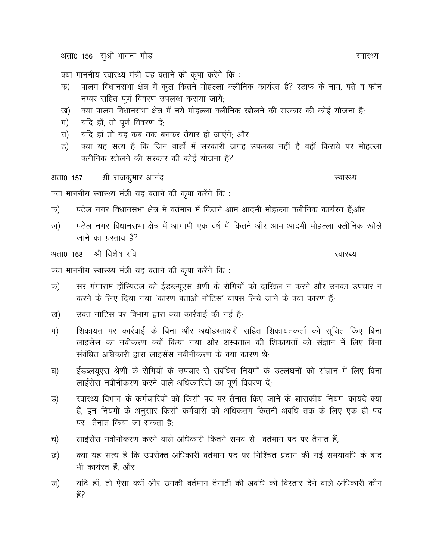अता0 156 सुश्री भावना गौड़

क्या माननीय स्वास्थ्य मंत्री यह बताने की कृपा करेंगे कि :

- पालम विधानसभा क्षेत्र में कूल कितने मोहल्ला क्लीनिक कार्यरत है? स्टाफ के नाम, पते व फोन क) नम्बर सहित पूर्ण विवरण उपलब्ध कराया जाये;
- क्या पालम विधानसभा क्षेत्र में नये मोहल्ला क्लीनिक खोलने की सरकार की कोई योजना है; ख)
- यदि हॉं, तो पूर्ण विवरण दें; ग)
- यदि हां तो यह कब तक बनकर तैयार हो जाएंगे; और घ)
- क्या यह सत्य है कि जिन वार्डों में सरकारी जगह उपलब्ध नहीं है वहाँ किराये पर मोहल्ला ड) क्लीनिक खोलने की सरकार की कोई योजना है?

श्री राजकुमार आनंद अता0 157

क्या माननीय स्वास्थ्य मंत्री यह बताने की कृपा करेंगे कि :

- पटेल नगर विधानसभा क्षेत्र में वर्तमान में कितने आम आदमी मोहल्ला क्लीनिक कार्यरत हैं;और क)
- पटेल नगर विधानसभा क्षेत्र में आगामी एक वर्ष में कितने और आम आदमी मोहल्ला क्लीनिक खोले ख) जाने का प्रस्ताव है?

श्री विशेष रवि अता0 158

क्या माननीय स्वास्थ्य मंत्री यह बताने की कृपा करेंगे कि :

- सर गंगाराम हॉस्पिटल को ईडब्ल्यूएस श्रेणी के रोगियों को दाखिल न करने और उनका उपचार न क) करने के लिए दिया गया 'कारण बताओ नोटिस' वापस लिये जाने के क्या कारण हैं:
- उक्त नोटिस पर विभाग द्वारा क्या कार्रवाई की गई है; ख)
- ग) शिकायत पर कार्रवाई के बिना और अधोहस्ताक्षरी सहित शिकायतकर्ता को सचित किए बिना लाइसेंस का नवीकरण क्यों किया गया और अस्पताल की शिकायतों को संज्ञान में लिए बिना संबंधित अधिकारी द्वारा लाइसेंस नवीनीकरण के क्या कारण थे:
- ईडब्लयूएस श्रेणी के रोगियों के उपचार से संबंधित नियमों के उल्लंघनों को संज्ञान में लिए बिना घ) लाईसेंस नवीनीकरण करने वाले अधिकारियों का पूर्ण विवरण दें;
- स्वास्थ्य विभाग के कर्मचारियों को किसी पद पर तैनात किए जाने के शासकीय नियम–कायदे क्या ड) हैं, इन नियमों के अनुसार किसी कर्मचारी को अधिकतम कितनी अवधि तक के लिए एक ही पद पर तैनात किया जा सकता है:
- लाईसेंस नवीनीकरण करने वाले अधिकारी कितने समय से वर्तमान पद पर तैनात हैं; च)
- क्या यह सत्य है कि उपरोक्त अधिकारी वर्तमान पद पर निश्चित प्रदान की गई समयावधि के बाद ত) भी कार्यरत हैं; और
- यदि हाँ, तो ऐसा क्यों और उनकी वर्तमान तैनाती की अवधि को विस्तार देने वाले अधिकारी कौन ज) हैं?

स्वास्थ्य

स्वास्थ्य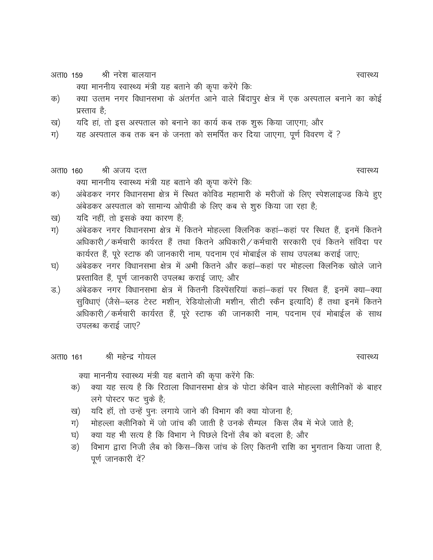श्री नरेश बालयान अता0 159

क्या माननीय स्वास्थ्य मंत्री यह बताने की कृपा करेंगे कि:

- क्या उत्तम नगर विधानसभा के अंतर्गत आने वाले बिंदापुर क्षेत्र में एक अस्पताल बनाने का कोई क) प्रस्ताव है:
- यदि हां, तो इस अस्पताल को बनाने का कार्य कब तक शुरू किया जाएगा; और ख)
- यह अस्पताल कब तक बन के जनता को समर्पित कर दिया जाएगा, पूर्ण विवरण दें ? ग)
- श्री अजय दत्त अता0 160 क्या माननीय स्वास्थ्य मंत्री यह बताने की कृपा करेंगे कि:
- अंबेडकर नगर विधानसभा क्षेत्र में स्थित कोविड महामारी के मरीजों के लिए स्पेशलाइज्ड किये हुए क) अंबेडकर अस्पताल को सामान्य ओपीडी के लिए कब से शुरु किया जा रहा है;
- यदि नहीं, तो इसके क्या कारण हैं; ख)
- अंबेडकर नगर विधानसभा क्षेत्र में कितने मोहल्ला क्लिनिक कहां–कहां पर स्थित हैं, इनमें कितने ग) अधिकारी ⁄ कर्मचारी कार्यरत हैं तथा कितने अधिकारी ⁄ कर्मचारी सरकारी एवं कितने संविदा पर कार्यरत हैं, पूरे स्टाफ की जानकारी नाम, पदनाम एवं मोबाईल के साथ उपलब्ध कराई जाए;
- अंबेडकर नगर विधानसभा क्षेत्र में अभी कितने और कहां–कहां पर मोहल्ला क्लिनिक खोले जाने घ) प्रस्तावित हैं, पूर्ण जानकारी उपलब्ध कराई जाए; और
- अंबेडकर नगर विधानसभा क्षेत्र में कितनी डिस्पेंसरियां कहां–कहां पर स्थित हैं, इनमें क्या–क्या ड.) सुविधाएं (जैसे-ब्लड टेस्ट मशीन, रेडियोलोजी मशीन, सीटी स्कैन इत्यादि) हैं तथा इनमें कितने अधिकारी / कर्मचारी कार्यरत हैं, पूरे स्टाफ की जानकारी नाम, पदनाम एवं मोबाईल के साथ उपलब्ध कराई जाए?

श्री महेन्द्र गोयल अता0 161

क्या माननीय स्वास्थ्य मंत्री यह बताने की कृपा करेंगे कि:

- क्या यह सत्य है कि रिठाला विधानसभा क्षेत्र के पोटा केबिन वाले मोहल्ला क्लीनिकों के बाहर क) लगे पोस्टर फट चुके है;
- यदि हाँ, तो उन्हें पुनः लगाये जाने की विभाग की क्या योजना है; ख)
- मोहल्ला क्लीनिको में जो जांच की जाती है उनके सैम्पल किस लैब में भेजे जाते है; ग)
- क्या यह भी सत्य है कि विभाग ने पिछले दिनों लैब को बदला है; और घ)
- विभाग द्वारा निजी लैब को किस-किस जांच के लिए कितनी राशि का भुगतान किया जाता है, ङ) पूर्ण जानकारी दें?

स्वास्थ्य

स्वास्थ्य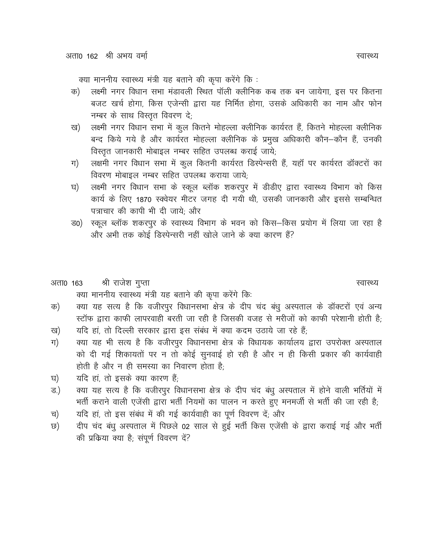क्या माननीय स्वास्थ्य मंत्री यह बताने की कृपा करेंगे कि :

- लक्ष्मी नगर विधान सभा मंडावली रिथत पॉली क्लीनिक कब तक बन जायेगा, इस पर कितना क) बजट खर्च होगा, किस एजेन्सी द्वारा यह निर्मित होगा, उसके अधिकारी का नाम और फोन नम्बर के साथ विस्तृत विवरण दे;
- लक्ष्मी नगर विधान सभा में कुल कितने मोहल्ला क्लीनिक कार्यरत हैं, कितने मोहल्ला क्लीनिक ख) बन्द किये गये है और कार्यरत मोहल्ला क्लीनिक के प्रमुख अधिकारी कौन–कौन हैं, उनकी विस्तृत जानकारी मोबाइल नम्बर सहित उपलब्ध कराई जाये;
- लक्षमी नगर विधान सभा में कुल कितनी कार्यरत डिस्पेन्सरी हैं, यहाँ पर कार्यरत डॉक्टरों का ग) विवरण मोबाइल नम्बर सहित उपलब्ध कराया जाये;
- लक्ष्मी नगर विधान सभा के स्कूल ब्लॉक शकरपुर में डीडीए द्वारा स्वास्थ्य विभाग को किस घ) कार्य के लिए 1870 स्क्वेयर मीटर जगह दी गयी थी, उसकी जानकारी और इससे सम्बन्धित पत्राचार की कापी भी दी जाये: और
- स्कूल ब्लॉक शकरपुर के स्वास्थ्य विभाग के भवन को किस–किस प्रयोग में लिया जा रहा है ਤ0) और अभी तक कोई डिस्पेन्सरी नहीं खोले जाने के क्या कारण हैं?
- श्री राजेश गुप्ता अता0 163 क्या माननीय स्वास्थ्य मंत्री यह बताने की कृपा करेंगे कि:
- क्या यह सत्य है कि वजीरपुर विधानसभा क्षेत्र के दीप चंद बंधु अस्पताल के डॉक्टरों एवं अन्य क) स्टॉफ द्वारा काफी लापरवाही बरती जा रही है जिसकी वजह से मरीजों को काफी परेशानी होती है;
- यदि हां, तो दिल्ली सरकार द्वारा इस संबंध में क्या कदम उठाये जा रहे हैं; ख)
- क्या यह भी सत्य है कि वजीरपूर विधानसभा क्षेत्र के विधायक कार्यालय द्वारा उपरोक्त अस्पताल ग) को दी गई शिकायतों पर न तो कोई सुनवाई हो रही है और न ही किसी प्रकार की कार्यवाही होती है और न ही समस्या का निवारण होता है:
- यदि हां, तो इसके क्या कारण हैं: घ)
- क्या यह सत्य है कि वजीरपुर विधानसभा क्षेत्र के दीप चंद बंधू अस्पताल में होने वाली भर्तियों में ड.) भर्ती कराने वाली एजेंसी द्वारा भर्ती नियमों का पालन न करते हुए मनमर्जी से भर्ती की जा रही है;
- यदि हां, तो इस संबंध में की गई कार्यवाही का पूर्ण विवरण दें; और च)
- दीप चंद बंधू अस्पताल में पिछले 02 साल से हुई भर्ती किस एजेंसी के द्वारा कराई गई और भर्ती ত) की प्रक्रिया क्या है; संपूर्ण विवरण दें?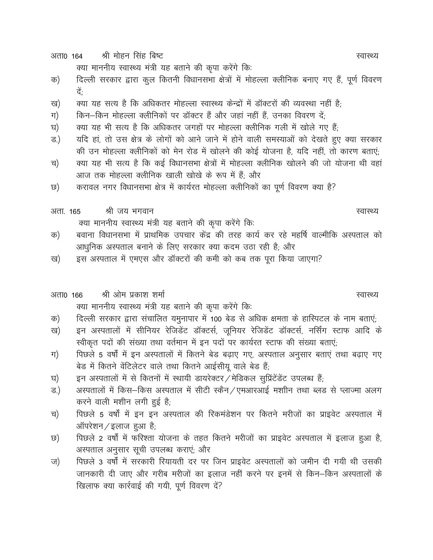श्री मोहन सिंह बिष्ट अता0 164

क्या माननीय स्वास्थ्य मंत्री यह बताने की कृपा करेंगे कि:

- दिल्ली सरकार द्वारा कुल कितनी विधानसभा क्षेत्रों में मोहल्ला क्लीनिक बनाए गए हैं, पूर्ण विवरण क) टें-
- क्या यह सत्य है कि अधिकतर मोहल्ला स्वास्थ्य केन्द्रों में डॉक्टरों की व्यवस्था नहीं है; ख)
- किन-किन मोहल्ला क्लीनिकों पर डॉक्टर हैं और जहां नहीं हैं, उनका विवरण दें; ग)
- क्या यह भी सत्य है कि अधिकतर जगहों पर मोहल्ला क्लीनिक गली में खोले गए हैं; घ)
- यदि हां, तो उस क्षेत्र के लोगों को आने जाने में होने वाली समस्याओं को देखते हुए क्या सरकार ड.) की उन मोहल्ला क्लीनिकों को मेन रोड में खोलने की कोई योजना है, यदि नहीं, तो कारण बताएं;
- क्या यह भी सत्य है कि कई विधानसभा क्षेत्रों में मोहल्ला क्लीनिक खोलने की जो योजना थी वहां च) आज तक मोहल्ला क्लीनिक खाली खोखे के रूप में हैं; और
- करावल नगर विधानसभा क्षेत्र में कार्यरत मोहल्ला क्लीनिकों का पूर्ण विवरण क्या है? ত)

श्री जय भगवान अता. 165 क्या माननीय स्वास्थ्य मंत्री यह बताने की कृपा करेंगे कि:

- बवाना विधानसभा में प्राथमिक उपचार केंद्र की तरह कार्य कर रहे महर्षि वाल्मीकि अस्पताल को क) आधुनिक अस्पताल बनाने के लिए सरकार क्या कदम उठा रही है; और
- इस अस्पताल में एमएस और डॉक्टरों की कमी को कब तक पूरा किया जाएगा? ख)

#### श्री ओम प्रकाश शर्मा अता0 166 क्या माननीय स्वास्थ्य मंत्री यह बताने की कृपा करेंगे कि:

- दिल्ली सरकार द्वारा संचालित यमुनापार में 100 बेड से अधिक क्षमता के हास्पिटल के नाम बताएं; क)
- इन अस्पतालों में सीनियर रेजिडेंट डॉक्टर्स, जूनियर रेजिडेंट डॉक्टर्स, नर्सिंग स्टाफ आदि के ख) स्वीकृत पदों की संख्या तथा वर्तमान में इन पदों पर कार्यरत स्टाफ की संख्या बताएं;
- पिछले 5 वर्षों में इन अस्पतालों में कितने बेड बढाए गए, अस्पताल अनुसार बताएं तथा बढाए गए ग) बेड में कितने वेंटिलेटर वाले तथा कितने आईसीयू वाले बेड हैं;
- इन अस्पतालों में से कितनों में स्थायी डायरेक्टर / मेडिकल सुप्रिंटेंडेंट उपलब्ध हैं; घ)
- अस्पतालों में किस-किस अस्पताल में सीटी स्कैन / एमआरआई मशीन तथा ब्लड से प्लाज्मा अलग ड.) करने वाली मशीन लगी हुई है;
- पिछले 5 वर्षों में इन इन अस्पताल की रिकमंडेशन पर कितने मरीजों का प्राइवेट अस्पताल में च) ऑपरेशन / इलाज हुआ है;
- पिछले 2 वर्षों में फरिश्ता योजना के तहत कितने मरीजों का प्राइवेट अस्पताल में इलाज हुआ है, ত) अस्पताल अनुसार सूची उपलब्ध कराएं; और
- पिछले 3 वर्षों में सरकारी रियायती दर पर जिन प्राइवेट अस्पतालों को जमीन दी गयी थी उसकी ज) जानकारी दी जाए और गरीब मरीजों का इलाज नहीं करने पर इनमें से किन–किन अस्पतालों के खिलाफ क्या कार्रवाई की गयी, पूर्ण विवरण दें?

स्वास्थ्य

स्वास्थ्य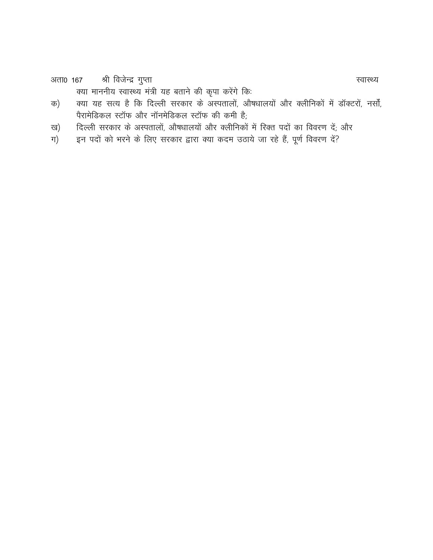श्री विजेन्द्र गुप्ता अता0 167

क्या माननीय स्वास्थ्य मंत्री यह बताने की कृपा करेंगे कि:

- क्या यह सत्य है कि दिल्ली सरकार के अस्पतालों, औषधालयों और क्लीनिकों में डॉक्टरों, नर्सों, क) पैरामेडिकल स्टॉफ और नॉनमेडिकल स्टॉफ की कमी है;
- दिल्ली सरकार के अस्पतालों, औषधालयों और क्लीनिकों में रिक्त पदों का विवरण दें; और ख)
- इन पदों को भरने के लिए सरकार द्वारा क्या कदम उठाये जा रहे हैं, पूर्ण विवरण दें? ग)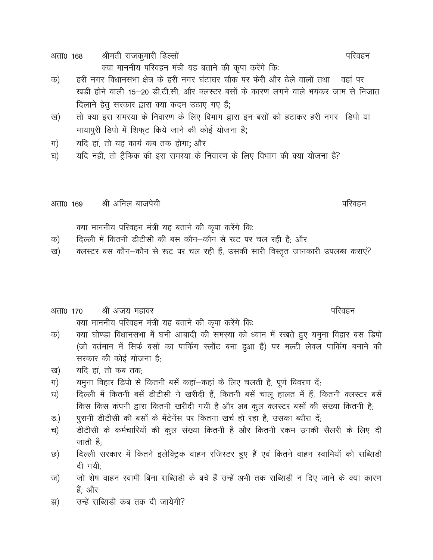श्रीमती राजकुमारी ढिल्लों अता0 168 क्या माननीय परिवहन मंत्री यह बताने की कुपा करेंगे कि:

- हरी नगर विधानसभा क्षेत्र के हरी नगर घंटाघर चौक पर फेरी और ठेले वालों तथा वहां पर क) खड़ी होने वाली 15-20 डी.टी.सी. और क्लस्टर बसों के कारण लगने वाले भयंकर जाम से निजात दिलाने हेतु सरकार द्वारा क्या कदम उठाए गए हैं;
- तो क्या इस समस्या के निवारण के लिए विभाग द्वारा इन बसों को हटाकर हरी नगर हिपो या ख) मायापुरी डिपो में शिफट किये जाने की कोई योजना है;
- यदि हां, तो यह कार्य कब तक होगा; और ग)
- यदि नहीं, तो ट्रैफिक की इस समस्या के निवारण के लिए विभाग की क्या योजना है? घ)

श्री अनिल बाजपेयी अता0 169

क्या माननीय परिवहन मंत्री यह बताने की कृपा करेंगे कि:

- दिल्ली में कितनी डीटीसी की बस कौन-कौन से रूट पर चल रही है; और क)
- क्लस्टर बस कौन-कौन से रूट पर चल रही हैं, उसकी सारी विस्तृत जानकारी उपलब्ध कराएं? ख)

#### अता0 170 श्री अजय महावर क्या माननीय परिवहन मंत्री यह बताने की कृपा करेंगे कि:

- क्या घोण्डा विधानसभा में घनी आबादी की समस्या को ध्यान में रखते हुए यमुना विहार बस डिपो क) (जो वर्तमान में सिर्फ बसों का पार्किंग स्लॉट बना हुआ है) पर मल्टी लेवल पार्किंग बनाने की सरकार की कोई योजना है:
- यदि हां, तो कब तक; ख)
- यमुना विहार डिपो से कितनी बसें कहां-कहां के लिए चलती है, पूर्ण विवरण दें; ग)
- दिल्ली में कितनी बसें डीटीसी ने खरीदी हैं, कितनी बसें चालू हालत में हैं, कितनी क्लस्टर बसें घ) किस किस कंपनी द्वारा कितनी खरीदी गयी है और अब कुल क्लस्टर बसों की संख्या कितनी है;
- पुरानी डीटीसी की बसों के मेंटेनेंस पर कितना खर्च हो रहा है, उसका ब्यौरा दें; ड.)
- डीटीसी के कर्मचारियों की कूल संख्या कितनी है और कितनी रकम उनकी सैलरी के लिए दी च) जाती है;
- दिल्ली सरकार में कितने इलेक्ट्रिक वाहन रजिस्टर हुए हैं एवं कितने वाहन स्वामियों को सब्सिडी ত) दी गयी:
- जो शेष वाहन स्वामी बिना सब्सिडी के बचे हैं उन्हें अभी तक सब्सिडी न दिए जाने के क्या कारण ज) हैं: और
- उन्हें सब्सिडी कब तक दी जायेगी? झ)

परिवहन

परिवहन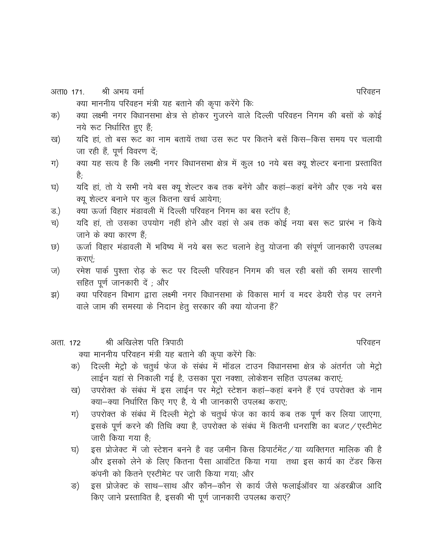श्री अभय वर्मा अता0 171

क्या माननीय परिवहन मंत्री यह बताने की कृपा करेंगे कि:

- क्या लक्ष्मी नगर विधानसभा क्षेत्र से होकर गुजरने वाले दिल्ली परिवहन निगम की बसों के कोई क) नये रूट निर्धारित हुए हैं;
- यदि हां, तो बस रूट का नाम बतायें तथा उस रूट पर कितने बसें किस–किस समय पर चलायी ख) जा रही हैं, पूर्ण विवरण दें;
- क्या यह सत्य है कि लक्ष्मी नगर विधानसभा क्षेत्र में कुल 10 नये बस क्यू शेल्टर बनाना प्रस्तावित ग) है:
- यदि हां, तो ये सभी नये बस क्यू शेल्टर कब तक बनेंगे और कहां कहां बनेंगे और एक नये बस घ) क्यू शेल्टर बनाने पर कूल कितना खर्च आयेगा;
- क्या ऊर्जा विहार मंडावली में दिल्ली परिवहन निगम का बस स्टॉप है; ड.)
- यदि हां, तो उसका उपयोग नहीं होने और वहां से अब तक कोई नया बस रूट प्रारंभ न किये च) जाने के क्या कारण हैं;
- ऊर्जा विहार मंडावली में भविष्य में नये बस रूट चलाने हेतू योजना की संपूर्ण जानकारी उपलब्ध ত) कराएं
- रमेश पार्क पुश्ता रोड़ के रूट पर दिल्ली परिवहन निगम की चल रही बसों की समय सारणी ज) सहित पूर्ण जानकारी दें ; और
- क्या परिवहन विभाग द्वारा लक्ष्मी नगर विधानसभा के विकास मार्ग व मदर डेयरी रोड पर लगने झ) वाले जाम की समस्या के निदान हेतू सरकार की क्या योजना हैं?
- श्री अखिलेश पति त्रिपाठी अता. 172

क्या माननीय परिवहन मंत्री यह बताने की कृपा करेंगे कि:

- दिल्ली मेट्रो के चतुर्थ फेज के संबंध में मॉडल टाउन विधानसभा क्षेत्र के अंतर्गत जो मेट्रो क) लाईन यहां से निकाली गई है, उसका पूरा नक्शा, लोकेशन सहित उपलब्ध कराएं;
- उपरोक्त के संबंध में इस लाईन पर मेट्रो स्टेशन कहां–कहां बनने हैं एवं उपरोक्त के नाम ख) क्या-क्या निर्धारित किए गए है, ये भी जानकारी उपलब्ध कराए:
- उपरोक्त के संबंध में दिल्ली मेट्रो के चतुर्थ फेज का कार्य कब तक पूर्ण कर लिया जाएगा, ग) इसके पूर्ण करने की तिथि क्या है, उपरोक्त के संबंध में कितनी धनराशि का बजट / एस्टीमेट जारी किया गया है;
- इस प्रोजेक्ट में जो स्टेशन बनने है वह जमीन किस डिपार्टमेंट / या व्यक्तिगत मालिक की है घ) और इसको लेने के लिए कितना पैसा आवंटित किया गया तथा इस कार्य का टेंडर किस कंपनी को कितने एस्टीमेट पर जारी किया गया: और
- इस प्रोजेक्ट के साथ-साथ और कौन-कौन से कार्य जैसे फलाईऑवर या अंडरब्रीज आदि ङ) किए जाने प्रस्तावित है, इसकी भी पूर्ण जानकारी उपलब्ध कराएं?

परिवहन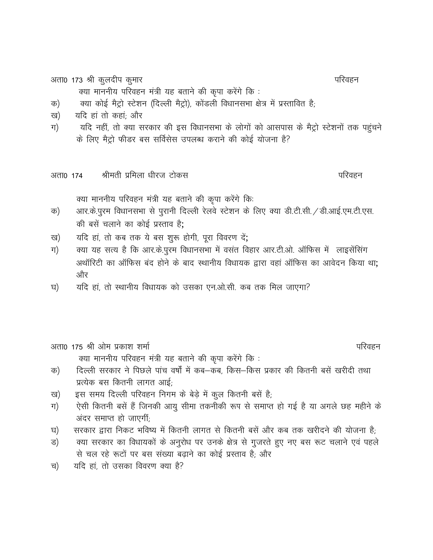अता0 173 श्री कुलदीप कुमार

क्या माननीय परिवहन मंत्री यह बताने की कृपा करेंगे कि:

क्या कोई मैट्रो स्टेशन (दिल्ली मैट्रो), कोंडली विधानसभा क्षेत्र में प्रस्तावित है; क)

- यदि हां तो कहां; और ख)
- यदि नहीं, तो क्या सरकार की इस विधानसभा के लोगों को आसपास के मैट्रो स्टेशनों तक पहुंचने ग) के लिए मैट्रो फीडर बस सर्विसेस उपलब्ध कराने की कोई योजना है?
- श्रीमती प्रमिला धीरज टोकस अता0 174

क्या माननीय परिवहन मंत्री यह बताने की कृपा करेंगे कि:

- आर.के.पुरम विधानसभा से पुरानी दिल्ली रेलवे स्टेशन के लिए क्या डी.टी.सी. / डी.आई.एम.टी.एस. क) की बसें चलाने का कोई प्रस्ताव है:
- यदि हां, तो कब तक ये बस शुरू होगी, पूरा विवरण दें; ख)
- क्या यह सत्य है कि आर.के.पुरम विधानसभा में वसंत विहार आर.टी.ओ. ऑफिस में लाइसेंसिंग ग) अथॉरिटी का ऑफिस बंद होने के बाद स्थानीय विधायक द्वारा वहां ऑफिस का आवेदन किया था; और
- यदि हां, तो स्थानीय विधायक को उसका एन.ओ.सी. कब तक मिल जाएगा? घ)

अता0 175 श्री ओम प्रकाश शर्मा क्या माननीय परिवहन मंत्री यह बताने की कृपा करेंगे कि :

- दिल्ली सरकार ने पिछले पांच वर्षों में कब—कब, किस—किस प्रकार की कितनी बसें खरीदी तथा क) प्रत्येक बस कितनी लागत आई:
- इस समय दिल्ली परिवहन निगम के बेड़े में कुल कितनी बसें है; ख)
- ऐसी कितनी बसें हैं जिनकी आयु सीमा तकनीकी रूप से समाप्त हो गई है या अगले छह महीने के ग) अंदर समाप्त हो जाएगी;
- सरकार द्वारा निकट भविष्य में कितनी लागत से कितनी बसें और कब तक खरीदने की योजना है; घ)
- क्या सरकार का विधायकों के अनुरोध पर उनके क्षेत्र से गुजरते हुए नए बस रूट चलाने एवं पहले ड) से चल रहे रूटों पर बस संख्या बढाने का कोई प्रस्ताव है; और
- यदि हां, तो उसका विवरण क्या है? च)

परिवहन

परिवहन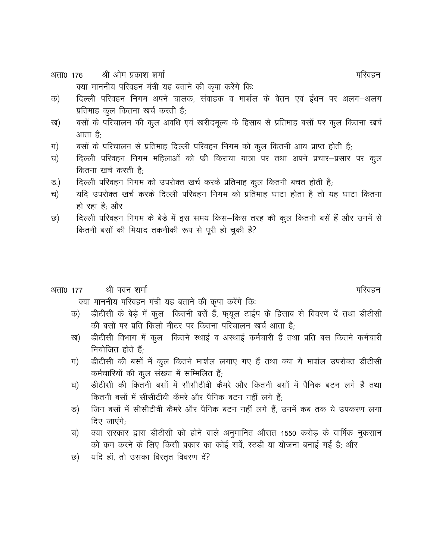श्री ओम प्रकाश शर्मा अता0 176 क्या माननीय परिवहन मंत्री यह बताने की कुपा करेंगे कि:

- दिल्ली परिवहन निगम अपने चालक, संवाहक व मार्शल के वेतन एवं ईंधन पर अलग-अलग क) प्रतिमाह कुल कितना खर्च करती है;
- बसों के परिचालन की कुल अवधि एवं खरीदमूल्य के हिसाब से प्रतिमाह बसों पर कुल कितना खर्च ख) आता है:
- बसों के परिचालन से प्रतिमाह दिल्ली परिवहन निगम को कुल कितनी आय प्राप्त होती है; ग)
- दिल्ली परिवहन निगम महिलाओं को फ्री किराया यात्रा पर तथा अपने प्रचार-प्रसार पर कूल घ) कितना खर्च करती है<sup>.</sup>
- दिल्ली परिवहन निगम को उपरोक्त खर्च करके प्रतिमाह कूल कितनी बचत होती है; ड.)
- यदि उपरोक्त खर्च करके दिल्ली परिवहन निगम को प्रतिमाह घाटा होता है तो यह घाटा कितना च) हो रहा है: और
- दिल्ली परिवहन निगम के बेड़े में इस समय किस-किस तरह की कुल कितनी बसें हैं और उनमें से ত) कितनी बसों की मियाद तकनीकी रूप से पूरी हो चुकी है?

#### श्री पवन शर्मा अता0 177

क्या माननीय परिवहन मंत्री यह बताने की कृपा करेंगे कि:

- डीटीसी के बेड़े में कुल कितनी बसें हैं, फ़यूल टाईप के हिसाब से विवरण दें तथा डीटीसी क) की बसों पर प्रति किलो मीटर पर कितना परिचालन खर्च आता है;
- डीटीसी विभाग में कुल कितने स्थाई व अस्थाई कर्मचारी हैं तथा प्रति बस कितने कर्मचारी ख) नियोजित होते हैं;
- डीटीसी की बसों में कुल कितने मार्शल लगाए गए हैं तथा क्या ये मार्शल उपरोक्त डीटीसी ग) कर्मचारियों की कूल संख्या में सम्मिलित हैं;
- डीटीसी की कितनी बसों में सीसीटीवी कैमरे और कितनी बसों में पैनिक बटन लगे हैं तथा घ) कितनी बसों में सीसीटीवी कैमरे और पैनिक बटन नहीं लगे हैं:
- जिन बसों में सीसीटीवी कैमरे और पैनिक बटन नहीं लगे हैं. उनमें कब तक ये उपकरण लगा ङ) दिए जाएंगे:
- क्या सरकार द्वारा डीटीसी को होने वाले अनुमानित औसत 1550 करोड़ के वार्षिक नुकसान च) को कम करने के लिए किसी प्रकार का कोई सर्वे, स्टडी या योजना बनाई गई है; और
- यदि हॉं, तो उसका विस्तृत विवरण दें? ত)

परिवहन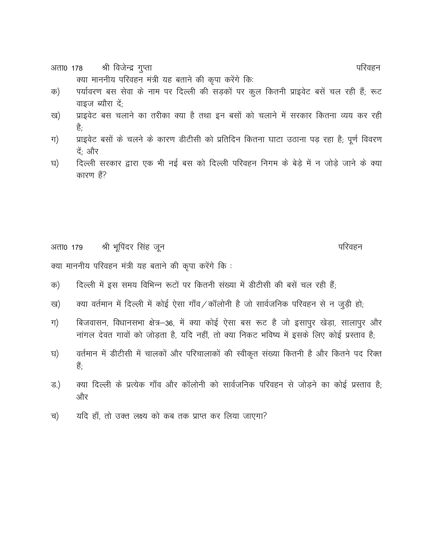श्री विजेन्द्र गुप्ता अता0 178

क्या माननीय परिवहन मंत्री यह बताने की कृपा करेंगे कि:

- पर्यावरण बस सेवा के नाम पर दिल्ली की सड़कों पर कूल कितनी प्राइवेट बसें चल रही हैं; रूट क) वाइज ब्यौरा दें;
- प्राइवेट बस चलाने का तरीका क्या है तथा इन बसों को चलाने में सरकार कितना व्यय कर रही ख) हैं:
- प्राइवेट बसों के चलने के कारण डीटीसी को प्रतिदिन कितना घाटा उठाना पड़ रहा है; पूर्ण विवरण ग) दें; और
- दिल्ली सरकार द्वारा एक भी नई बस को दिल्ली परिवहन निगम के बेड़े में न जोड़े जाने के क्या घ) कारण हैं?

श्री भूपिंदर सिंह जून परिवहन अता0 179

क्या माननीय परिवहन मंत्री यह बताने की कृपा करेंगे कि :

- दिल्ली में इस समय विभिन्न रूटों पर कितनी संख्या में डीटीसी की बसें चल रही हैं; क)
- क्या वर्तमान में दिल्ली में कोई ऐसा गाँव/कॉलोनी है जो सार्वजनिक परिवहन से न जुड़ी हो; ख)
- बिजवासन, विधानसभा क्षेत्र–36, में क्या कोई ऐसा बस रूट है जो इसापुर खेड़ा, सालापुर और ग) नांगल देवत गावों को जोड़ता है, यदि नहीं, तो क्या निकट भविष्य में इसके लिए कोई प्रस्ताव है;
- वर्तमान में डीटीसी में चालकों और परिचालाकों की स्वीकृत संख्या कितनी है और कितने पद रिक्त घ) हैं:
- क्या दिल्ली के प्रत्येक गाँव और कॉलोनी को सार्वजनिक परिवहन से जोडने का कोई प्रस्ताव है: ड.) और
- यदि हाँ, तो उक्त लक्ष्य को कब तक प्राप्त कर लिया जाएगा? च)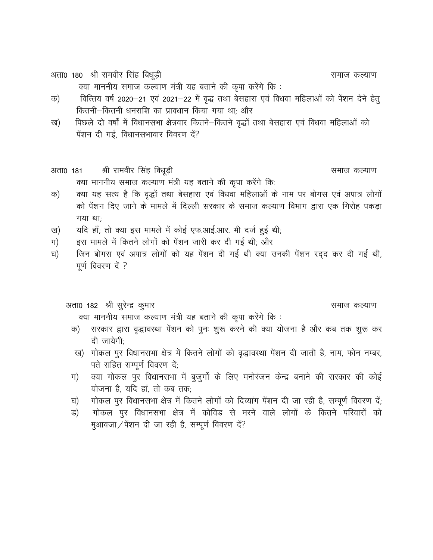अता0 180 श्री रामवीर सिंह बिधूड़ी

समाज कल्याण

समाज कल्याण

क्या माननीय समाज कल्याण मंत्री यह बताने की कृपा करेंगे कि:

- वित्तिय वर्ष 2020-21 एवं 2021-22 में वृद्ध तथा बेसहारा एवं विधवा महिलाओं को पेंशन देने हेतू क) कितनी-कितनी धनराशि का प्रावधान किया गया था; और
- पिछले दो वर्षों में विधानसभा क्षेत्रवार कितने-कितने वृद्धों तथा बेसहारा एवं विधवा महिलाओं को ख) पेंशन दी गई. विधानसभावार विवरण दें?
- श्री रामवीर सिंह बिधूड़ी अता0 181 क्या माननीय समाज कल्याण मंत्री यह बताने की कृपा करेंगे कि:
- क्या यह सत्य है कि वृद्धों तथा बेसहारा एवं विधवा महिलाओं के नाम पर बोगस एवं अपात्र लोगों क) को पेंशन दिए जाने के मामले में दिल्ली सरकार के समाज कल्याण विभाग द्वारा एक गिरोह पकड़ा गया था:
- यदि हाँ; तो क्या इस मामले में कोई एफ.आई.आर. भी दर्ज हुई थी; ख)
- इस मामले में कितने लोगों को पेंशन जारी कर दी गई थी; और ग)
- जिन बोगस एवं अपात्र लोगों को यह पेंशन दी गई थी क्या उनकी पेंशन रदद कर दी गई थी, घ) पूर्ण विवरण दें ?

### अता0 182 श्री सुरेन्द्र कुमार

समाज कल्याण

क्या माननीय समाज कल्याण मंत्री यह बताने की कृपा करेंगे कि:

- क) सरकार द्वारा वृद्धावस्था पेंशन को पुनः शुरू करने की क्या योजना है और कब तक शुरू कर दी जायेगी:
- ख) गोकल पुर विधानसभा क्षेत्र में कितने लोगों को वृद्धावस्था पेंशन दी जाती है, नाम, फोन नम्बर, पते सहित सम्पूर्ण विवरण दें;
- क्या गोकल पुर विधानसभा में बुजुर्गो के लिए मनोरंजन केन्द्र बनाने की सरकार की कोई ग) योजना है, यदि हां, तो कब तक;
- गोकल पुर विधानसभा क्षेत्र में कितने लोगों को दिव्यांग पेंशन दी जा रही है, सम्पूर्ण विवरण दें; घ)
- गोकल पुर विधानसभा क्षेत्र में कोविड से मरने वाले लोगों के कितने परिवारों को ड) मुआवजा / पेंशन दी जा रही है, सम्पूर्ण विवरण दें?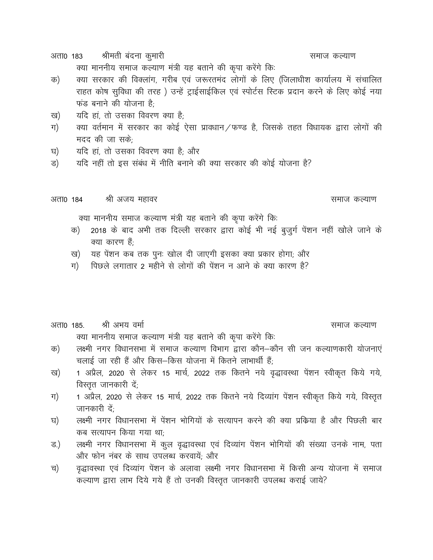श्रीमती बंदना कुमारी अता0 183

क्या माननीय समाज कल्याण मंत्री यह बताने की कृपा करेंगे कि:

- क्या सरकार की विक्लांग, गरीब एवं जरूरतमंद लोगों के लिए (जिलाधीश कार्यालय में संचालित क) राहत कोष सुविधा की तरह) उन्हें ट्राईसाईकिल एवं स्पोर्टस स्टिक प्रदान करने के लिए कोई नया फंड बनाने की योजना है<sup>.</sup>
- यदि हां, तो उसका विवरण क्या है; ख)
- क्या वर्तमान में सरकार का कोई ऐसा प्रावधान/फण्ड है, जिसके तहत विधायक द्वारा लोगों की ग) मदद की जा सके<sup>.</sup>
- यदि हां, तो उसका विवरण क्या है; और घ)
- यदि नहीं तो इस संबंध में नीति बनाने की क्या सरकार की कोई योजना है? ड)

श्री अजय महावर अता0 184

समाज कल्याण

समाज कल्याण

क्या माननीय समाज कल्याण मंत्री यह बताने की कृपा करेंगे कि:

- 2018 के बाद अभी तक दिल्ली सरकार द्वारा कोई भी नई बुजुर्ग पेंशन नहीं खोले जाने के क) क्या कारण हैं:
- यह पेंशन कब तक पुनः खोल दी जाएगी इसका क्या प्रकार होगा; और ख)
- पिछले लगातार 2 महीने से लोगों की पेंशन न आने के क्या कारण है? ग)
- श्री अभय वर्मा अता0 185.

समाज कल्याण

क्या माननीय समाज कल्याण मंत्री यह बताने की कृपा करेंगे कि:

- लक्ष्मी नगर विधानसभा में समाज कल्याण विभाग द्वारा कौन–कौन सी जन कल्याणकारी योजनाएं क) चलाई जा रही हैं और किस-किस योजना में कितने लाभार्थी हैं;
- 1 अप्रैल, 2020 से लेकर 15 मार्च, 2022 तक कितने नये वृद्धावस्था पेंशन स्वीकृत किये गये, ख) विस्तृत जानकारी दें;
- 1 अप्रैल, 2020 से लेकर 15 मार्च, 2022 तक कितने नये दिव्यांग पेंशन स्वीकृत किये गये, विस्तृत ग) जानकारी दें:
- लक्ष्मी नगर विधानसभा में पेंशन भोगियों के सत्यापन करने की क्या प्रक्रिया है और पिछली बार घ) कब सत्यापन किया गया था:
- लक्ष्मी नगर विधानसभा में कुल वृद्धावस्था एवं दिव्यांग पेंशन भोगियों की संख्या उनके नाम, पता ड.) और फोन नंबर के साथ उपलब्ध करवायें; और
- वृद्धावस्था एवं दिव्यांग पेंशन के अलावा लक्ष्मी नगर विधानसभा में किसी अन्य योजना में समाज च) कल्याण द्वारा लाभ दिये गये हैं तो उनकी विस्तृत जानकारी उपलब्ध कराई जाये?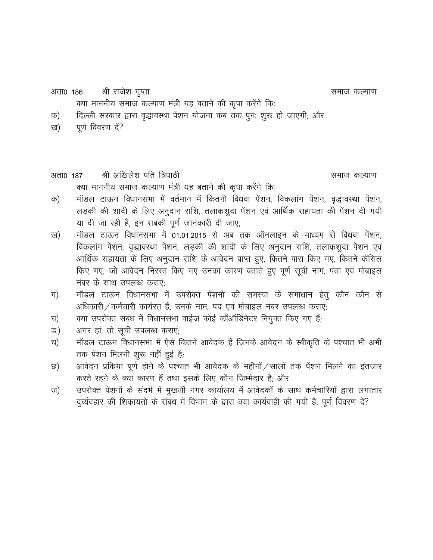vrk0 186 Jh jkt s"k xqIrk lekt dY;k.k D;k ekuuh; lekt dY;k.k ea=h ;g crku s dh d `ik djsaxs fd% d½ fnYyh ljdkj }kjk o`)koLFkk isa"ku ;kstuk dc rd iqu% "kq: gks tk,xh( vkSj [k½ iw.kZ fooj.k n sa\

- 
- vrk0 187 Jh vf[kys"k ifr f=ikBh lekt dY;k.k पूर्ण विवरण दें?<br>87 श्री अखिलेश पति त्रिपाठी<br>क्या माननीय समाज कल्याण मंत्री यह बताने की कृपा करेंगे किः<br>मॉडल टाऊन विधानसभा में वर्तमान में कितनी विधवा पेंशन, विकलांग पेंशन, वृद्धावस्था पेंशन,
- d½ ekWMy VkÅu fo/kkulHkk esa or Zeku esa fdruh fo/kok isa"ku] fodykax isa"ku] o`)koLFkk isa"ku] )<br>क्या माननीय समाज कल्याण मंत्री यह बताने की कृपा करेंगे कि:<br>मॉडल टाऊन विधानसभा में वर्तमान में कितनी विधवा पेंशन, विकलांग पेंशन, वृद्धावस्था पेंशन,<br>लड़की की शादी के लिए अनुदान राशि, तलाकशुदा पेंशन एवं आर्थिक सहायता की पे या दी जा रही है, इन सबकी पूर्ण जानकारी दी जाए; क) मॉडल टाऊन विधानसभा में वर्तमान में कितनी विधवा पेंशन, विकलांग पेंशन, वृद्धावस्था पेंशन,<br>लड़की की शादी के लिए अनुदान राशि, तलाकशुदा पेंशन एवं आर्थिक सहायता की पेंशन दी गयी<br>या दी जा रही है, इन सबकी पूर्ण जानकारी दी जाए;<br>
- क्या माननाय समाज कल्याण मंत्रा यह बतान का कृपा करने ।क.<br>मॉडल टाऊन विधानसभा में वर्तमान में कितनी विधवा पेंशन, विकलांग पेंशन, वृद्धावस्था पेंशन,<br>लड़की की शादी के लिए अनुदान राशि, तलाकशुदा पेंशन एवं आर्थिक सहायता की पेंशन द माडल टाऊन विघानसमा में पतमान में कितना विघवा पेशन, विकलाग पेशन, वृद्धावस्था पेशन,<br>लड़की की शादी के लिए अनुदान राशि, तलाकशुदा पेंशन एवं आर्थिक सहायता की पेंशन दी गयी<br>या दी जा रही है, इन सबकी पूर्ण जानकारी दी जाए;<br>मिंडल टाऊ किए गए, जो आवेदन निरस्त किए गए उनका कारण बताते हुए पूर्ण सूची नाम, पता एवं मोबाइल या दा जा रहा ह, इन संबका पूण<br>मॉडल टाऊन विधानसभा में 01.<br>विकलांग पेंशन, वृद्धावस्था पेंशन,<br>आर्थिक सहायता के लिए अनुदान<br>किए गए, जो आवेदन निरस्त किए<br>नंबर के साथ उपलब्ध कराएं;<br>मॉडल टाऊन विधानसभा में उ र्ष्य) - माडल टाऊन विघानसभा में 01.01.2015 से अब तिक आनलाइन के माध्यम से विघया पेशन,<br>विकलांग पेंशन, वृद्धावस्था पेंशन, लड़की की शादी के लिए अनुदान राशि, तलाकशुदा पेंशन एवं<br>आर्थिक सहायता के लिए अनुदान राशि के आवेदन प्राप्त पिकलाग पेशन, पृद्धांपस्था पेशन, लड़का का शादा के लिए अनुदान सांश, तलाकेशुदा<br>आर्थिक सहायता के लिए अनुदान राशि के आवेदन प्राप्त हुए, कितने पास किए गए, कित<br>नंबर के साथ उपलब्ध कराएं;<br>नंबर के साथ उपलब्ध कराएं;<br>अधिकारी ⁄ कर्मचा आर्थिक सहायता के लिए अनुदान शांश के आवदन प्राप्त हुए, कितन पास किए गए, की आवेदन निरस्त किए गए उनका कारण बताते हुए पूर्ण सूची नाम, प<br>रांग कार के साथ उपलब्ध कराएं;<br>ग) मॉडल टाऊन विधानसभा में उपरोक्त पेंशनों की समस्या के समा
- लिए गए, जा आपदन गिरस्त किए गए ए<br>नंबर के साथ उपलब्ध कराएं;<br>ग) मॉडल टाऊन विधानसभा में उपरोक्त<br>घ) क्या उपरोक्त संबंध में विधानसभा वाईज व्<br>ड.) अगर हां, तो सूची उपलब्ध कराएं;<br>च) मॉडल टाऊन विधानसभा में ऐसे कितने अ ग) मांडल टाऊन विधानसभा में उपरोक्त पेंशनों की समस्या के समाधान हेतु कौन कौन से<br>अधिकारी / कर्मचारी कार्यरत हैं, उनके नाम, पद एवं मोबाइल नंबर उपलब्ध कराएं;<br>घ) क्या उपरोक्त संबंध में विधानसभा वाईज कोई कॉऑर्डिनेटर नियुक्त किए
- 
- 
- तक पेंशन मिलनी शुरू नहीं हुई है; क्या उपरोक्त संबंध में विधानसभा वाईज कोई कॉऑर्डिनेटर नियुक्त किए गए हैं;<br>अगर हां, तो सूची उपलब्ध कराएं;<br>मॉडल टाऊन विधानसभा में ऐसे कितने आवेदक हैं जिनके आवेदन के स्वीकृति के पश्चात भी अभी<br>तक पेंशन मिलनी शुरू नहीं हुई है;<br>
- N½ vkosnu izfdz;k iw.kZ gksu s d s i"pkr Hkh vkosnd d s eghuksa@lkyksa rd isa"ku feyu s dk bartkj ड.) - अगर हा, ता सूचा उपलब्ध कराए;<br>च) - मॉडल टाऊन विधानसभा में ऐसे कितने आवेदक हैं जिनके आवेदन के स्वीकृति के पश्चात भी अभी<br>कर के पेशन मिलनी शुरू नहीं हुई है;<br>करते रहने के क्या कारण हैं तथा इसके लिए कौन जिम्मेदार है; और<br>ज माडल टाऊन विघानसमा में एस कितन आवदक है ।जनक आवदन के स्वाकृति के पश्चात मा अमा<br>तक पेंशन मिलनी शुरू नहीं हुई है;<br>आवेदन प्रकिया पूर्ण होने के पश्चात भी आवेदक के महीनों / सालों तक पेंशन मिलने का इंतजार<br>करते रहने के क्या कारण
-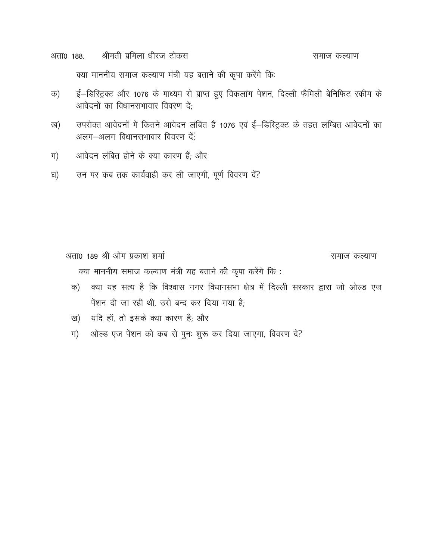श्रीमती प्रमिला धीरज टोकस अता0 188. समाज कल्याण क्या माननीय समाज कल्याण मंत्री यह बताने की कृपा करेंगे कि:

- ई–डिस्ट्रिक्ट और 1076 के माध्यम से प्राप्त हुए विकलांग पेशन, दिल्ली फैमिली बेनिफिट स्कीम के क) आवेदनों का विधानसभावार विवरण दें:
- उपरोक्त आवेदनों में कितने आवेदन लंबित हैं 1076 एवं ई-डिस्ट्रिक्ट के तहत लम्बित आवेदनों का ख) अलग-अलग विधानसभावार विवरण दें;
- आवेदन लंबित होने के क्या कारण हैं; और ग)
- उन पर कब तक कार्यवाही कर ली जाएगी, पूर्ण विवरण दें? घ)

अता0 189 श्री ओम प्रकाश शर्मा समाज कल्याण क्या माननीय समाज कल्याण मंत्री यह बताने की कृपा करेंगे कि :

- क्या यह सत्य है कि विश्वास नगर विधानसभा क्षेत्र में दिल्ली सरकार द्वारा जो ओल्ड एज क) पेंशन दी जा रही थी, उसे बन्द कर दिया गया है;
- यदि हॉं, तो इसके क्या कारण है; और ख)
- ओल्ड एज पेंशन को कब से पुनः शुरू कर दिया जाएगा, विवरण दे? ग)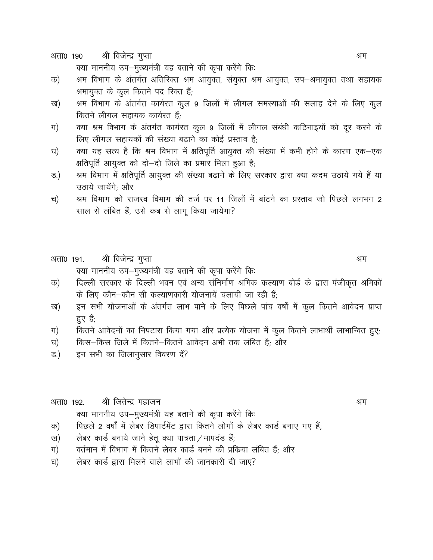श्री विजेन्द्र गुप्ता अता0 190

क्या माननीय उप-मुख्यमंत्री यह बताने की कृपा करेंगे कि:

- श्रम विभाग के अंतर्गत अतिरिक्त श्रम आयुक्त, संयुक्त श्रम आयुक्त, उप–श्रमायुक्त तथा सहायक क) श्रमायुक्त के कूल कितने पद रिक्त हैं;
- श्रम विभाग के अंतर्गत कार्यरत कुल 9 जिलों में लीगल समस्याओं की सलाह देने के लिए कुल ख) कितने लीगल सहायक कार्यरत हैं;
- क्या श्रम विभाग के अंतर्गत कार्यरत कुल 9 जिलों में लीगल संबंधी कठिनाइयों को दूर करने के ग) लिए लीगल सहायकों की संख्या बढाने का कोई प्रस्ताव है;
- क्या यह सत्य है कि श्रम विभाग में क्षतिपूर्ति आयुक्त की संख्या में कमी होने के कारण एक–एक घ) क्षतिपूर्ति आयुक्त को दो-दो जिले का प्रभार मिला हुआ है;
- श्रम विभाग में क्षतिपूर्ति आयुक्त की संख्या बढ़ाने के लिए सरकार द्वारा क्या कदम उठाये गये हैं या ड.) उठाये जायेंगे; और
- श्रम विभाग को राजस्व विभाग की तर्ज पर 11 जिलों में बांटने का प्रस्ताव जो पिछले लगभग 2 च) साल से लंबित हैं, उसे कब से लागू किया जायेगा?
- श्री विजेन्द्र गुप्ता अता0 191. क्या माननीय उप-मुख्यमंत्री यह बताने की कृपा करेंगे कि:
- दिल्ली सरकार के दिल्ली भवन एवं अन्य संनिर्माण श्रमिक कल्याण बोर्ड के द्वारा पंजीकृत श्रमिकों क) के लिए कौन-कौन सी कल्याणकारी योजनायें चलायी जा रही हैं;
- इन सभी योजनाओं के अंतर्गत लाभ पाने के लिए पिछले पांच वर्षों में कुल कितने आवेदन प्राप्त ख) हुए हैं;
- कितने आवेदनों का निपटारा किया गया और प्रत्येक योजना में कुल कितने लाभार्थी लाभान्वित हुए; ग)
- किस-किस जिले में कितने-कितने आवेदन अभी तक लंबित है: और घ)
- इन सभी का जिलानुसार विवरण दें? ड.)

श्री जितेन्द्र महाजन अता0 192. क्या माननीय उप-मुख्यमंत्री यह बताने की कृपा करेंगे कि:

- पिछले 2 वर्षों में लेबर डिपार्टमेंट द्वारा कितने लोगों के लेबर कार्ड बनाए गए हैं; क)
- लेबर कार्ड बनाये जाने हेतू क्या पात्रता/मापदंड हैं; ख)
- वर्तमान में विभाग में कितने लेबर कार्ड बनने की प्रक्रिया लंबित हैं; और ग)
- लेबर कार्ड द्वारा मिलने वाले लाभों की जानकारी दी जाए? घ)

श्रम

श्रम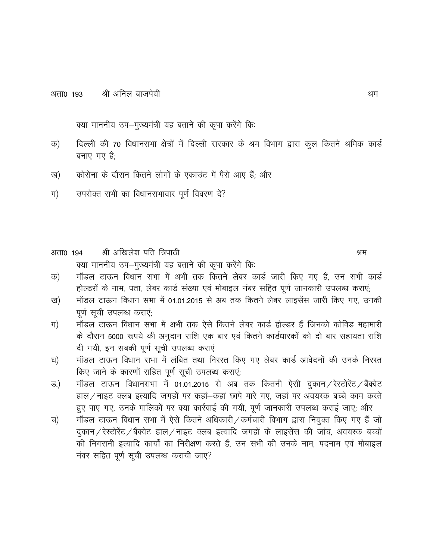क्या माननीय उप-मुख्यमंत्री यह बताने की कृपा करेंगे कि:

- दिल्ली की 70 विधानसभा क्षेत्रों में दिल्ली सरकार के श्रम विभाग द्वारा कुल कितने श्रमिक कार्ड क) बनाए गए है:
- कोरोना के दौरान कितने लोगों के एकाउंट में पैसे आए हैं; और ख)
- उपरोक्त सभी का विधानसभावार पूर्ण विवरण दें? ग)

अता0 194 श्री अखिलेश पति त्रिपाठी क्या माननीय उप-मुख्यमंत्री यह बताने की कृपा करेंगे कि:

- मॉडल टाऊन विधान सभा में अभी तक कितने लेबर कार्ड जारी किए गए हैं, उन सभी कार्ड क) होल्डरों के नाम, पता, लेबर कार्ड संख्या एवं मोबाइल नंबर सहित पूर्ण जानकारी उपलब्ध कराएं;
- मॉडल टाऊन विधान सभा में 01.01.2015 से अब तक कितने लेबर लाइसेंस जारी किए गए. उनकी ख) पूर्ण सूची उपलब्ध कराएं;
- ग) मॉडल टाऊन विधान सभा में अभी तक ऐसे कितने लेबर कार्ड होल्डर हैं जिनको कोविड महामारी के दौरान 5000 रूपये की अनुदान राशि एक बार एवं कितने कार्डधारकों को दो बार सहायता राशि दी गयी, इन सबकी पूर्ण सूची उपलब्ध कराएं
- मॉडल टाऊन विधान सभा में लंबित तथा निरस्त किए गए लेबर कार्ड आवेदनों की उनके निरस्त घ) किए जाने के कारणों सहित पूर्ण सूची उपलब्ध कराएं;
- मॉडल टाऊन विधानसभा में 01.01.2015 से अब तक कितनी ऐसी दुकान / रेस्टोरेंट / बैंक्वेट ड.) हाल/नाइट क्लब इत्यादि जगहों पर कहां-कहां छापे मारे गए, जहां पर अवयस्क बच्चे काम करते हुए पाए गए, उनके मालिकों पर क्या कार्रवाई की गयी, पूर्ण जानकारी उपलब्ध कराई जाए; और
- मॉडल टाऊन विधान सभा में ऐसे कितने अधिकारी / कर्मचारी विभाग द्वारा नियुक्त किए गए हैं जो च) दुकान/रेस्टोरेंट/बैंक्वेट हाल/नाइट क्लब इत्यादि जगहों के लाइसेंस की जांच, अवयस्क बच्चों की निगरानी इत्यादि कार्यों का निरीक्षण करते हैं, उन सभी की उनके नाम, पदनाम एवं मोबाइल नंबर सहित पूर्ण सूची उपलब्ध करायी जाए?

श्रम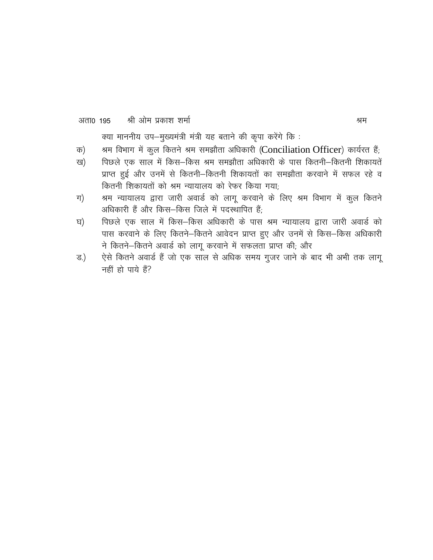#### श्री ओम प्रकाश शर्मा अता0 195

क्या माननीय उप-मुख्यमंत्री मंत्री यह बताने की कृपा करेंगे कि:

- श्रम विभाग में कूल कितने श्रम समझौता अधिकारी (Conciliation Officer) कार्यरत हैं; क)
- पिछले एक साल में किस-किस श्रम समझौता अधिकारी के पास कितनी-कितनी शिकायतें ख) प्राप्त हुई और उनमें से कितनी–कितनी शिकायतों का समझौता करवाने में सफल रहे व कितनी शिकायतों को श्रम न्यायालय को रेफर किया गया;
- श्रम न्यायालय द्वारा जारी अवार्ड को लागू करवाने के लिए श्रम विभाग में कुल कितने ग) अधिकारी हैं और किस-किस जिले में पदस्थापित हैं:
- पिछले एक साल में किस–किस अधिकारी के पास श्रम न्यायालय द्वारा जारी अवार्ड को घ) पास करवाने के लिए कितने-कितने आवेदन प्राप्त हुए और उनमें से किस-किस अधिकारी ने कितने-कितने अवार्ड को लागू करवाने में सफलता प्राप्त की; और
- ऐसे कितने अवार्ड हैं जो एक साल से अधिक समय गुजर जाने के बाद भी अभी तक लाग ड.) नहीं हो पाये हैं?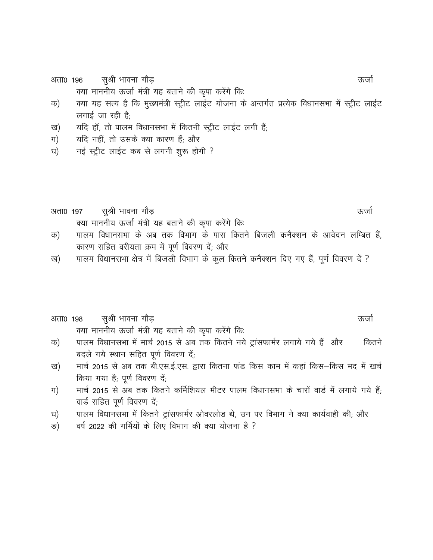सुश्री भावना गौड़ अता0 196

क्या माननीय ऊर्जा मंत्री यह बताने की कृपा करेंगे कि:

- क्या यह सत्य है कि मुख्यमंत्री स्ट्रीट लाईट योजना के अन्तर्गत प्रत्येक विधानसभा में स्ट्रीट लाईट क) लगाई जा रही है;
- यदि हाँ, तो पालम विधानसभा में कितनी स्ट्रीट लाईट लगी हैं; ख)
- यदि नहीं, तो उसके क्या कारण हैं; और ग)
- नई स्ट्रीट लाईट कब से लगनी शुरू होगी ? घ)
- सुश्री भावना गौड़ ऊर्जा अता0 197 क्या माननीय ऊर्जा मंत्री यह बताने की कृपा करेंगे कि:
- पालम विधानसभा के अब तक विभाग के पास कितने बिजली कनैक्शन के आवेदन लम्बित हैं, क) कारण सहित वरीयता क्रम में पूर्ण विवरण दें; और
- पालम विधानसभा क्षेत्र में बिजली विभाग के कुल कितने कनैक्शन दिए गए हैं, पूर्ण विवरण दें ? ख)

#### सुश्री भावना गौड़ अता0 198 ऊर्जा क्या माननीय ऊर्जा मंत्री यह बताने की कृपा करेंगे कि:

- पालम विधानसभा में मार्च 2015 से अब तक कितने नये ट्रांसफार्मर लगाये गये हैं और क) कितने बदले गये स्थान सहित पूर्ण विवरण दें;
- मार्च 2015 से अब तक बी.एस.ई.एस. द्वारा कितना फंड किस काम में कहां किस–किस मद में खर्च ख) किया गया है; पूर्ण विवरण दें;
- मार्च 2015 से अब तक कितने कर्मिशियल मीटर पालम विधानसभा के चारों वार्ड में लगाये गये हैं: ग) वार्ड सहित पूर्ण विवरण दें;
- पालम विधानसभा में कितने ट्रांसफार्मर ओवरलोड थे, उन पर विभाग ने क्या कार्यवाही की; और घ)
- वर्ष 2022 की गर्मियों के लिए विभाग की क्या योजना है ? ङ)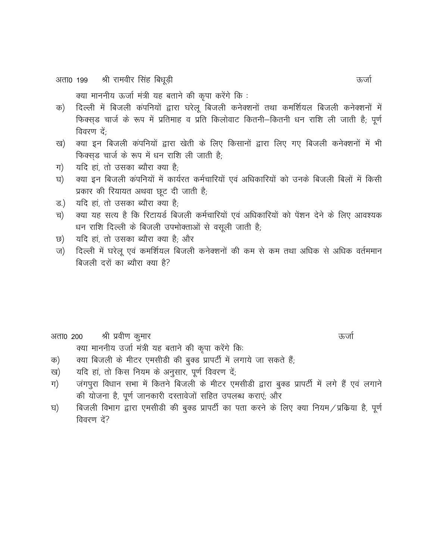श्री रामवीर सिंह बिधूड़ी अता0 199

क्या माननीय ऊर्जा मंत्री यह बताने की कृपा करेंगे कि:

- दिल्ली में बिजली कंपनियों द्वारा घरेलू बिजली कनेक्शनों तथा कमर्शियल बिजली कनेक्शनों में क) फिक्स्ड चार्ज के रूप में प्रतिमाह व प्रति किलोवाट कितनी-कितनी धन राशि ली जाती है; पूर्ण विवरण दें:
- क्या इन बिजली कंपनियों द्वारा खेती के लिए किसानों द्वारा लिए गए बिजली कनेक्शनों में भी ख) फिक्सड चार्ज के रूप में धन राशि ली जाती है;
- ग) यदि हां, तो उसका ब्यौरा क्या है;
- क्या इन बिजली कंपनियों में कार्यरत कर्मचारियों एवं अधिकारियों को उनके बिजली बिलों में किसी घ) प्रकार की रियायत अथवा छूट दी जाती है;
- यदि हां, तो उसका ब्यौरा क्या है: ड.)
- क्या यह सत्य है कि रिटायर्ड बिजली कर्मचारियों एवं अधिकारियों को पेंशन देने के लिए आवश्यक च) धन राशि दिल्ली के बिजली उपभोक्ताओं से वसूली जाती है;
- यदि हां, तो उसका ब्यौरा क्या है; और ত)
- दिल्ली में घरेलू एवं कमर्शियल बिजली कनेक्शनों की कम से कम तथा अधिक से अधिक वर्तममान ज) बिजली दरों का ब्यौरा क्या है?

श्री प्रवीण कुमार अता0 200 क्या माननीय उर्जा मंत्री यह बताने की कृपा करेंगे कि:

- क्या बिजली के मीटर एमसीडी की बुक्ड प्रापर्टी में लगाये जा सकते हैं; क)
- यदि हां, तो किस नियम के अनुसार, पूर्ण विवरण दें; ख)
- जंगपुरा विधान सभा में कितने बिजली के मीटर एमसीडी द्वारा बुक्ड प्रापर्टी में लगे हैं एवं लगाने ग) की योजना है, पूर्ण जानकारी दस्तावेजों सहित उपलब्ध कराएं; और
- बिजली विभाग द्वारा एमसीडी की बुक्ड प्रापर्टी का पता करने के लिए क्या नियम / प्रकिया है, पूर्ण घ) विवरण दें?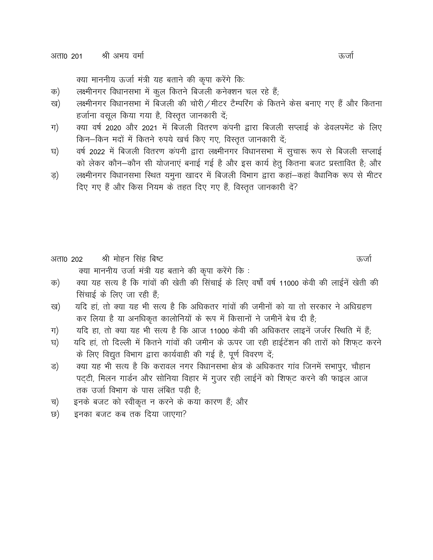क्या माननीय ऊर्जा मंत्री यह बताने की कृपा करेंगे कि:

- लक्ष्मीनगर विधानसभा में कूल कितने बिजली कनेक्शन चल रहे हैं; क)
- लक्ष्मीनगर विधानसभा में बिजली की चोरी / मीटर टैम्परिंग के कितने केस बनाए गए हैं और कितना ख) हर्जाना वसूल किया गया है, विस्तृत जानकारी दें;
- क्या वर्ष 2020 और 2021 में बिजली वितरण कंपनी द्वारा बिजली सप्लाई के डेवलपमेंट के लिए ग) किन-किन मदों में कितने रुपये खर्च किए गए, विस्तृत जानकारी दें;
- वर्ष 2022 में बिजली वितरण कंपनी द्वारा लक्ष्मीनगर विधानसभा में सुचारू रूप से बिजली सप्लाई घ) को लेकर कौन-कौन सी योजनाएं बनाई गई है और इस कार्य हेतू कितना बजट प्रस्तावित है; और
- लक्ष्मीनगर विधानसभा स्थित यमुना खादर में बिजली विभाग द्वारा कहां—कहां वैधानिक रूप से मीटर ड) दिए गए हैं और किस नियम के तहत दिए गए हैं, विस्तृत जानकारी दें?

श्री मोहन सिंह बिष्ट अता0 202 क्या माननीय उर्जा मंत्री यह बताने की कृपा करेंगे कि:

- क्या यह सत्य है कि गांवों की खेती की सिंचाई के लिए वर्षों वर्ष 11000 केवी की लाईनें खेती की क) सिंचाई के लिए जा रही हैं;
- यदि हां, तो क्या यह भी सत्य है कि अधिकतर गांवों की जमीनों को या तो सरकार ने अधिग्रहण ख) कर लिया है या अनधिकृत कालोनियों के रूप में किसानों ने जमीनें बेच दी है;
- यदि हा, तो क्या यह भी सत्य है कि आज 11000 केवी की अधिकतर लाइनें जर्जर स्थिति में हैं; ग)
- यदि हां, तो दिल्ली में कितने गांवों की जमीन के ऊपर जा रही हाईटेंशन की तारों को शिफट करने घ) के लिए विद्युत विभाग द्वारा कार्यवाही की गई है, पूर्ण विवरण दें;
- क्या यह भी सत्य है कि करावल नगर विधानसभा क्षेत्र के अधिकतर गांव जिनमें सभापुर, चौहान ड) पट्टी, मिलन गार्डन और सोनिया विहार में गुजर रही लाईनें को शिफट करने की फाइल आज तक उर्जा विभाग के पास लंबित पड़ी है:
- इनके बजट को स्वीकृत न करने के कया कारण हैं; और च)
- इनका बजट कब तक दिया जाएगा? ত)

ऊर्जा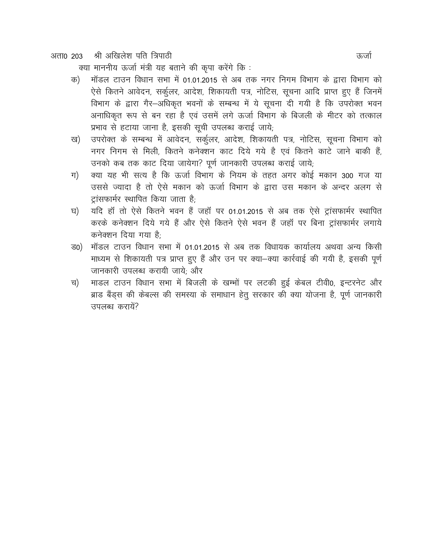अता0 203 श्री अखिलेश पति त्रिपाठी

क्या माननीय ऊर्जा मंत्री यह बताने की कुपा करेंगे कि:

- मॉडल टाउन विधान सभा में 01.01.2015 से अब तक नगर निगम विभाग के द्वारा विभाग को क) ऐसे कितने आवेदन, सर्कूलर, आदेश, शिकायती पत्र, नोटिस, सूचना आदि प्राप्त हुए हैं जिनमें विभाग के द्वारा गैर-अधिकृत भवनों के सम्बन्ध में ये सूचना दी गयी है कि उपरोक्त भवन अनाधिकृत रूप से बन रहा है एवं उसमें लगे ऊर्जा विभाग के बिजली के मीटर को तत्काल प्रभाव से हटाया जाना है, इसकी सूची उपलब्ध कराई जाये;
- उपरोक्त के सम्बन्ध में आवेदन, सर्कूलर, आदेश, शिकायती पत्र, नोटिस, सूचना विभाग को ख) नगर निगम से मिली, कितने कनेक्शन काट दिये गये है एवं कितने काटे जाने बाकी हैं, उनको कब तक काट दिया जायेगा? पूर्ण जानकारी उपलब्ध कराई जाये;
- क्या यह भी सत्य है कि ऊर्जा विभाग के नियम के तहत अगर कोई मकान 300 गज या ग) उससे ज्यादा है तो ऐसे मकान को ऊर्जा विभाग के द्वारा उस मकान के अन्दर अलग से टांसफार्मर स्थापित किया जाता है:
- यदि हाँ तो ऐसे कितने भवन हैं जहाँ पर 01.01.2015 से अब तक ऐसे ट्रांसफार्मर स्थापित घ) करके कनेक्शन दिये गये हैं और ऐसे कितने ऐसे भवन हैं जहाँ पर बिना ट्रांसफार्मर लगाये कनेक्शन दिया गया है:
- मॉडल टाउन विधान सभा में 01.01.2015 से अब तक विधायक कार्यालय अथवा अन्य किसी ਤ0) माध्यम से शिकायती पत्र प्राप्त हुए हैं और उन पर क्या-क्या कार्रवाई की गयी है, इसकी पूर्ण जानकारी उपलब्ध करायी जाये: और
- माडल टाउन विधान सभा में बिजली के खम्भों पर लटकी हुई केबल टीवी0, इन्टरनेट और च) ब्राड बैंड्स की केबल्स की समस्या के समाधान हेतू सरकार की क्या योजना है, पूर्ण जानकारी उपलब्ध करायें?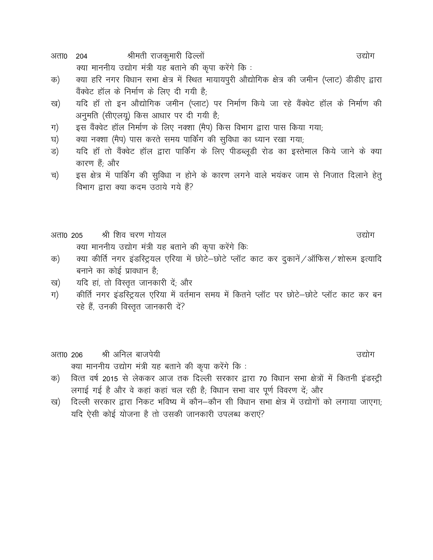श्रीमती राजकुमारी ढिल्लों अता0 204

क्या माननीय उद्योग मंत्री यह बताने की कृपा करेंगे कि:

- क्या हरि नगर विधान सभा क्षेत्र में स्थित मायायपुरी औद्योगिक क्षेत्र की जमीन (प्लाट) डीडीए द्वारा क) वैंक्वेट हॉल के निर्माण के लिए दी गयी है:
- यदि हाँ तो इन औद्योगिक जमीन (प्लाट) पर निर्माण किये जा रहे वैंक्वेट हॉल के निर्माण की ख) अनुमति (सीएलयू) किस आधार पर दी गयी है;
- इस वैंक्वेट हॉल निर्माण के लिए नक्शा (मैप) किस विभाग द्वारा पास किया गया; ग)
- क्या नक्शा (मैप) पास करते समय पार्किंग की सुविधा का ध्यान रखा गया; घ)
- यदि हॉ तो वैंक्वेट हॉल द्वारा पार्किंग के लिए पीडब्लूडी रोड का इस्तेमाल किये जाने के क्या ड) कारण हैं; और
- इस क्षेत्र में पार्किंग की सुविधा न होने के कारण लगने वाले भयंकर जाम से निजात दिलाने हेतू च) विभाग द्वारा क्या कदम उठाये गये हैं?
- श्री शिव चरण गोयल अता0 205 क्या माननीय उद्योग मंत्री यह बताने की कृपा करेंगे कि:

#### क्या कीर्ति नगर इंडस्ट्रियल एरिया में छोटे-छोटे प्लॉट काट कर दुकानें /ऑफिस /शोरूम इत्यादि क) बनाने का कोई प्रावधान है:

- यदि हां, तो विस्तृत जानकारी दें; और ख)
- कीर्ति नगर इंडस्ट्रियल एरिया में वर्तमान समय में कितने प्लॉट पर छोटे-छोटे प्लॉट काट कर बन ग) रहे हैं, उनकी विस्तृत जानकारी दें?

#### श्री अनिल बाजपेयी अता0 206 क्या माननीय उद्योग मंत्री यह बताने की कृपा करेंगे कि:

- वित्त वर्ष 2015 से लेककर आज तक दिल्ली सरकार द्वारा 70 विधान सभा क्षेत्रों में कितनी इंडस्ट्री क) लगाई गई है और वे कहां कहां चल रही है; विधान सभा वार पूर्ण विवरण दें; और
- दिल्ली सरकार द्वारा निकट भविष्य में कौन–कौन सी विधान सभा क्षेत्र में उद्योगों को लगाया जाएगा: ख) यदि ऐसी कोई योजना है तो उसकी जानकारी उपलब्ध कराएं?

उद्योग

उद्योग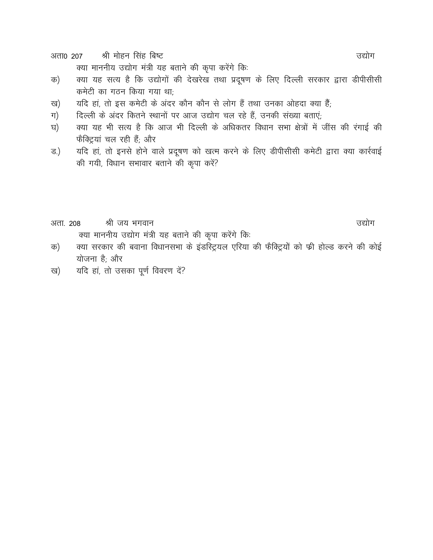श्री मोहन सिंह बिष्ट अता0 207

क्या माननीय उद्योग मंत्री यह बताने की कृपा करेंगे कि:

- क्या यह सत्य है कि उद्योगों की देखरेख तथा प्रदूषण के लिए दिल्ली सरकार द्वारा डीपीसीसी क) कमेटी का गठन किया गया था:
- यदि हां, तो इस कमेटी के अंदर कौन कौन से लोग हैं तथा उनका ओहदा क्या हैं; ख)
- दिल्ली के अंदर कितने स्थानों पर आज उद्योग चल रहे हैं, उनकी संख्या बताएं; ग)
- क्या यह भी सत्य है कि आज भी दिल्ली के अधिकतर विधान सभा क्षेत्रों में जींस की रंगाई की घ) फैक्ट्रियां चल रही हैं; और
- यदि हां, तो इनसे होने वाले प्रदूषण को खत्म करने के लिए डीपीसीसी कमेटी द्वारा क्या कार्रवाई ड.) की गयी, विधान सभावार बताने की कृपा करें?

अता. 208 श्री जय भगवान क्या माननीय उद्योग मंत्री यह बताने की कृपा करेंगे कि:

- क्या सरकार की बवाना विधानसभा के इंडस्ट्रियल एरिया की फैक्ट्रियों को फी होल्ड करने की कोई क) योजना है: और
- यदि हां, तो उसका पूर्ण विवरण दें? ख)

उद्योग

उद्योग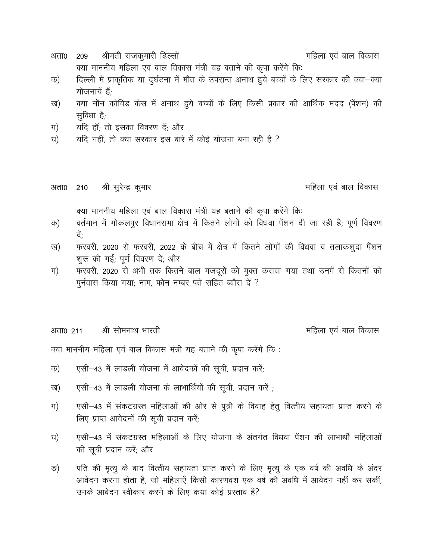- श्रीमती राजकुमारी ढिल्लों महिला एवं बाल विकास अता0 209 क्या माननीय महिला एवं बाल विकास मंत्री यह बताने की कृपा करेंगे कि:
- दिल्ली में प्राकृतिक या दुर्घटना में मौत के उपरान्त अनाथ हुये बच्चों के लिए सरकार की क्या-क्या क) योजनायें हैं
- क्या नॉन कोविड केस में अनाथ हुये बच्चों के लिए किसी प्रकार की आर्थिक मदद (पेंशन) की ख) सुविधा है;
- यदि हाँ; तो इसका विवरण दें; और ग)
- यदि नहीं, तो क्या सरकार इस बारे में कोई योजना बना रही है ? घ)

श्री सुरेन्द्र कुमार अता0 210

महिला एवं बाल विकास

क्या माननीय महिला एवं बाल विकास मंत्री यह बताने की कृपा करेंगे कि:

- वर्तमान में गोकलपुर विधानसभा क्षेत्र में कितने लोगों को विधवा पेंशन दी जा रही है; पूर्ण विवरण क) दें:
- फरवरी, 2020 से फरवरी, 2022 के बीच में क्षेत्र में कितने लोगों की विधवा व तलाकशुदा पैंशन ख) शुरू की गई; पूर्ण विवरण दें; और
- फरवरी, 2020 से अभी तक कितने बाल मजदूरों को मुक्त कराया गया तथा उनमें से कितनों को ग) पुर्नवास किया गया; नाम, फोन नम्बर पते सहित ब्यौरा दें ?

श्री सोमनाथ भारती अता0 211

महिला एवं बाल विकास

क्या माननीय महिला एवं बाल विकास मंत्री यह बताने की कृपा करेंगे कि:

- एसी-43 में लाडली योजना में आवेदकों की सूची, प्रदान करें; क)
- एसी-43 में लाडली योजना के लाभार्थियों की सूची, प्रदान करें ; ख)
- एसी-43 में संकटग्रस्त महिलाओं की ओर से पुत्री के विवाह हेतु वित्तीय सहायता प्राप्त करने के ग) लिए प्राप्त आवेदनों की सूची प्रदान करें;
- एसी–43 में संकटग्रस्त महिलाओं के लिए योजना के अंतर्गत विधवा पेंशन की लाभार्थी महिलाओं घ) की सूची प्रदान करें; और
- पति की मृत्यु के बाद वित्तीय सहायता प्राप्त करने के लिए मृत्यु के एक वर्ष की अवधि के अंदर ङ) आवेदन करना होता है, जो महिलाएँ किसी कारणवश एक वर्ष की अवधि में आवेदन नहीं कर सकीं, उनके आवेदन स्वीकार करने के लिए कया कोई प्रस्ताव है?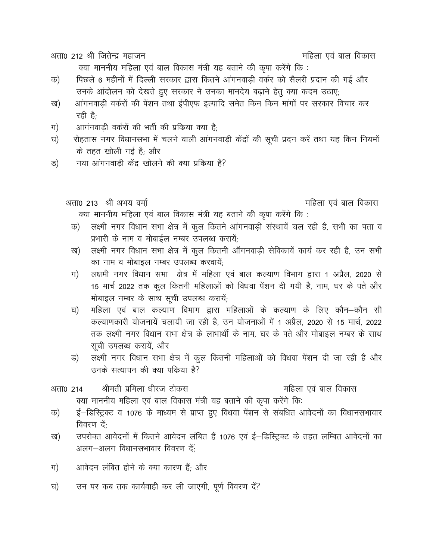अता0 212 श्री जितेन्द्र महाजन

क्या माननीय महिला एवं बाल विकास मंत्री यह बताने की कृपा करेंगे कि:

- पिछले 6 महीनों में दिल्ली सरकार द्वारा कितने आंगनवाड़ी वर्कर को सैलरी प्रदान की गई और क) उनके आंदोलन को देखते हुए सरकार ने उनका मानदेय बढ़ाने हेतू क्या कदम उठाए;
- आंगनवाडी वर्करों की पेंशन तथा ईपीएफ इत्यादि समेत किन किन मांगों पर सरकार विचार कर ख) रही है:
- आगंनवाडी वर्करों की भर्ती की प्रकिया क्या है; ग)
- रोहतास नगर विधानसभा में चलने वाली आंगनवाड़ी केंद्रों की सूची प्रदन करें तथा यह किन नियमों घ) के तहत खोली गई है; और
- नया आंगनवाड़ी केंद्र खोलने की क्या प्रकिया है? ड)

अता0 213 श्री अभय वर्मा महिला एवं बाल विकास क्या माननीय महिला एवं बाल विकास मंत्री यह बताने की कृपा करेंगे कि:

- लक्ष्मी नगर विधान सभा क्षेत्र में कुल कितने आंगनवाड़ी संस्थायें चल रही है, सभी का पता व क) प्रभारी के नाम व मोबाईल नम्बर उपलब्ध करायें;
- लक्ष्मी नगर विधान सभा क्षेत्र में कुल कितनी ऑगनवाड़ी सेविकायें कार्य कर रही है, उन सभी ख) का नाम व मोबाइल नम्बर उपलब्ध करवायें;
- लक्षमी नगर विधान सभा क्षेत्र में महिला एवं बाल कल्याण विभाग द्वारा 1 अप्रैल, 2020 से ग) 15 मार्च 2022 तक कुल कितनी महिलाओं को विधवा पेंशन दी गयी है, नाम, घर के पते और मोबाइल नम्बर के साथ सूची उपलब्ध करायें;
- महिला एवं बाल कल्याण विभाग द्वारा महिलाओं के कल्याण के लिए कौन—कौन सी घ) कल्याणकारी योजनायें चलायी जा रही है, उन योजनाओं में 1 अप्रैल, 2020 से 15 मार्च, 2022 तक लक्ष्मी नगर विधान सभा क्षेत्र के लाभार्थी के नाम, घर के पते और मोबाइल नम्बर के साथ सूची उपलब्ध करायें, और
- लक्ष्मी नगर विधान सभा क्षेत्र में कुल कितनी महिलाओं को विधवा पेंशन दी जा रही है और ड) उनके सत्यापन की क्या पकिया है?

#### श्रीमती प्रमिला धीरज टोकस महिला एवं बाल विकास अता0 214 क्या माननीय महिला एवं बाल विकास मंत्री यह बताने की कृपा करेंगे कि:

- ई–डिस्ट्रिक्ट व 1076 के माध्यम से प्राप्त हुए विधवा पेंशन से संबधित आवेदनों का विधानसभावार क) विवरण दें:
- उपरोक्त आवेदनों में कितने आवेदन लंबित हैं 1076 एवं ई–डिस्ट्रिक्ट के तहत लम्बित आवेदनों का ख) अलग-अलग विधानसभावार विवरण दें:
- आवेदन लंबित होने के क्या कारण हैं; और ग)
- उन पर कब तक कार्यवाही कर ली जाएगी, पूर्ण विवरण दें? घ)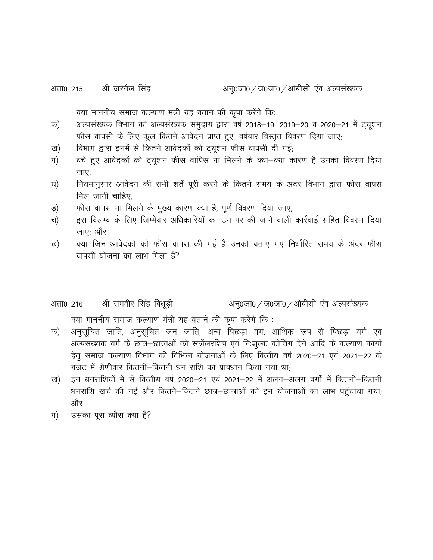क्या माननीय समाज कल्याण मंत्री यह बताने की कृपा करेंगे कि:

- अल्पसंख्यक विभाग को अल्पसंख्यक समुदाय द्वारा वर्ष 2018–19, 2019–20 व 2020–21 में ट्यूशन क) फीस वापसी के लिए कुल कितने आवेदन प्राप्त हुए, वर्षवार विस्तृत विवरण दिया जाए;
- विभाग द्वारा इनमें से कितने आवेदकों को ट्यूशन फीस वापसी दी गई; ख)
- बचे हुए आवेदकों को ट्यूशन फीस वापिस ना मिलने के क्या-क्या कारण है उनका विवरण दिया ग) जाए:
- नियमानुसार आवेदन की सभी शर्तें पूरी करने के कितने समय के अंदर विभाग द्वारा फीस वापस घ) मिल जानी चाहिए:
- फीस वापस ना मिलने के मुख्य कारण क्या है, पूर्ण विवरण दिया जाए; ड़)
- इस विलम्ब के लिए जिम्मेवार अधिकारियों का उन पर की जाने वाली कार्रवाई सहित विवरण दिया च) जाए: और
- क्या जिन आवेदकों को फीस वापस की गई है उनको बताए गए निर्धारित समय के अंदर फीस ত) वापसी योजना का लाभ मिला है?

#### श्री रामवीर सिंह बिधूड़ी अनु0जा0 / ज0जा0 / ओबीसी एंव अल्पसंख्यक अता0 216

क्या माननीय समाज कल्याण मंत्री यह बताने की कृपा करेंगे कि :

- अनुसूचित जाति, अनुसूचित जन जाति, अन्य पिछड़ा वर्ग, आर्थिक रूप से पिछड़ा वर्ग एवं क) अल्पसंख्यक वर्ग के छात्र–छात्राओं को स्कॉलरशिप एवं निःशुल्क कोचिंग देने आदि के कल्याण कार्यों हेतू समाज कल्याण विभाग की विभिन्न योजनाओं के लिए वित्तीय वर्ष 2020–21 एवं 2021–22 के बजट में श्रेणीवार कितनी–कितनी धन राशि का प्रावधान किया गया था:
- इन धनराशियों में से वित्तीय वर्ष 2020–21 एवं 2021–22 में अलग–अलग वर्गों में कितनी–कितनी ख) धनराशि खर्च की गई और कितने-कितने छात्र-छात्राओं को इन योजनाओं का लाभ पहुंचाया गया; और
- उसका पूरा ब्यौरा क्या है? ग)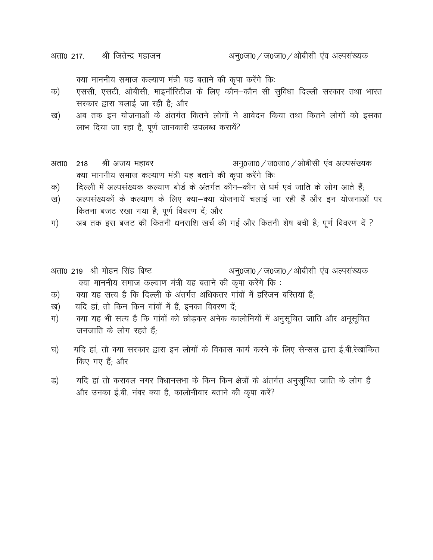अता0 217. श्री जितेन्द्र महाजन

क्या माननीय समाज कल्याण मंत्री यह बताने की कृपा करेंगे कि:

- एससी, एसटी, ओबीसी, माइनॉरिटीज के लिए कौन-कौन सी सुविधा दिल्ली सरकार तथा भारत क) सरकार द्वारा चलाई जा रही है; और
- अब तक इन योजनाओं के अंतर्गत कितने लोगों ने आवेदन किया तथा कितने लोगों को इसका ख) लाभ दिया जा रहा है, पूर्ण जानकारी उपलब्ध करायें?
- श्री अजय महावर अनु0जा0 / ज0जा0 / ओबीसी एंव अल्पसंख्यक अता0 218 क्या माननीय समाज कल्याण मंत्री यह बताने की कृपा करेंगे कि:
- दिल्ली में अल्पसंख्यक कल्याण बोर्ड के अंतर्गत कौन-कौन से धर्म एवं जाति के लोग आते हैं; क)
- अल्पसंख्यकों के कल्याण के लिए क्या-क्या योजनायें चलाई जा रही हैं और इन योजनाओं पर ख) कितना बजट रखा गया है; पूर्ण विवरण दें; और
- अब तक इस बजट की कितनी धनराशि खर्च की गई और कितनी शेष बची है; पूर्ण विवरण दें ? ग)
- अनु0जा0 / ज0जा0 / ओबीसी एंव अल्पसंख्यक अता0 219 श्री मोहन सिंह बिष्ट क्या माननीय समाज कल्याण मंत्री यह बताने की कृपा करेंगे कि:
- क्या यह सत्य है कि दिल्ली के अंतर्गत अधिकतर गांवों में हरिजन बस्तियां हैं: क)
- यदि हां, तो किन किन गांवों में हैं, इनका विवरण दें; ख)
- क्या यह भी सत्य है कि गांवों को छोड़कर अनेक कालोनियों में अनुसूचित जाति और अनूसूचित ग) जनजाति के लोग रहते हैं:
- यदि हां, तो क्या सरकार द्वारा इन लोगों के विकास कार्य करने के लिए सेन्सस द्वारा ई.बी.रेखांकित घ) किए गए हैं; और
- यदि हां तो करावल नगर विधानसभा के किन किन क्षेत्रों के अंतर्गत अनुसूचित जाति के लोग हैं ड) और उनका ई.बी. नंबर क्या है, कालोनीवार बताने की कृपा करें?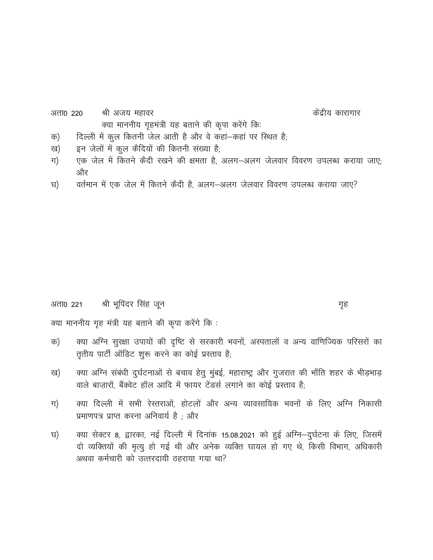- अता0 220 श्री अजय महावर केंद्रीय कारागार क्या माननीय गृहमंत्री यह बताने की कृपा करेंगे कि:
- दिल्ली में कुल कितनी जेल आती है और वे कहां-कहां पर स्थित है; क)
- इन जेलों में कुल कैदियों की कितनी संख्या है; ख)
- एक जेल में कितने कैदी रखने की क्षमता है, अलग-अलग जेलवार विवरण उपलब्ध कराया जाए; ग) और
- वर्तमान में एक जेल में कितने कैदी है, अलग-अलग जेलवार विवरण उपलब्ध कराया जाए? घ)

श्री भूपिंदर सिंह जून अता0 221

गृह

क्या माननीय गृह मंत्री यह बताने की कृपा करेंगे कि :

- क्या अग्नि सुरक्षा उपायों की दृष्टि से सरकारी भवनों, अस्पतालों व अन्य वाणिज्यिक परिसरों का क) तृतीय पार्टी ऑडिट शुरू करने का कोई प्रस्ताव है;
- क्या अग्नि संबंधी दुर्घटनाओं से बचाव हेतू मुंबई, महाराष्ट्र और गुजरात की भाँति शहर के भीड़भाड़ ख) वाले बाज़ारों, बैंक्वेट हॉल आदि में फायर टेंडर्स लगाने का कोई प्रस्ताव है;
- क्या दिल्ली में सभी रेस्तराओं, होटलों और अन्य व्यावसायिक भवनों के लिए अग्नि निकासी ग) प्रमाणपत्र प्राप्त करना अनिवार्य है; और
- क्या सेक्टर 8, द्वारका, नई दिल्ली में दिनांक 15.08.2021 को हुई अग्नि-दुर्घटना के लिए, जिसमें घ) दो व्यक्तियों की मृत्यू हो गई थी और अनेक व्यक्ति घायल हो गए थे, किसी विभाग, अधिकारी अथवा कर्मचारी को उत्तरदायी ठहराया गया था?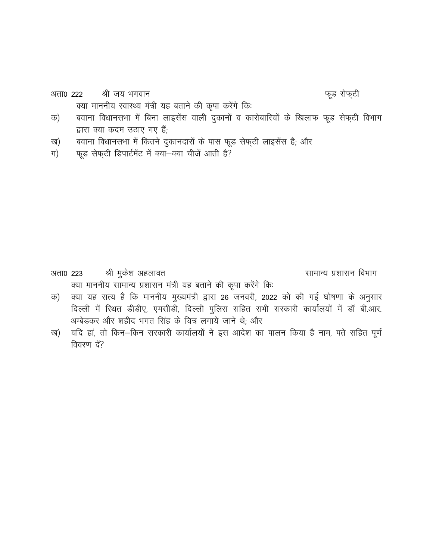श्री जय भगवान अता0 222

फूड सेफ्टी

- बवाना विधानसभा में बिना लाइसेंस वाली दुकानों व कारोबारियों के खिलाफ फूड सेफ्टी विभाग क) द्वारा क्या कदम उठाए गए हैं;
- बवाना विधानसभा में कितने दुकानदारों के पास फूड सेफ्टी लाइसेंस है; और ख)

क्या माननीय स्वास्थ्य मंत्री यह बताने की कृपा करेंगे कि:

फूड सेफ़टी डिपार्टमेंट में क्या-क्या चीजें आती है? ग)

श्री मुकेश अहलावत सामान्य प्रशासन विभाग अता0 223 क्या माननीय सामान्य प्रशासन मंत्री यह बताने की कृपा करेंगे कि:

- क्या यह सत्य है कि माननीय मुख्यमंत्री द्वारा 26 जनवरी, 2022 को की गई घोषणा के अनुसार क) दिल्ली में स्थित डीडीए, एमसीडी, दिल्ली पुलिस सहित सभी सरकारी कार्यालयों में डॉ बी.आर. अम्बेडकर और शहीद भगत सिंह के चित्र लगाये जाने थे; और
- ख) यदि हां, तो किन-किन सरकारी कार्यालयों ने इस आदेश का पालन किया है नाम, पते सहित पूर्ण विवरण दें?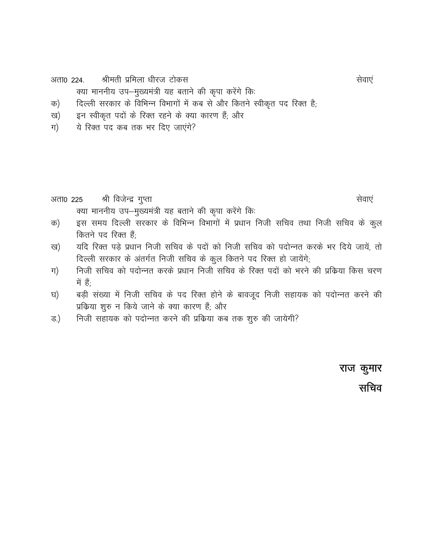श्रीमती प्रमिला धीरज टोकस अता0 224.

क्या माननीय उप-मुख्यमंत्री यह बताने की कृपा करेंगे कि:

दिल्ली सरकार के विभिन्न विभागों में कब से और कितने स्वीकृत पद रिक्त है; क)

- इन स्वीकृत पदों के रिक्त रहने के क्या कारण हैं; और ख)
- ये रिक्त पद कब तक भर दिए जाएंगे? ग)

- श्री विजेन्द्र गुप्ता अता0 225 क्या माननीय उप-मुख्यमंत्री यह बताने की कृपा करेंगे कि:
- इस समय दिल्ली सरकार के विभिन्न विभागों में प्रधान निजी सचिव तथा निजी सचिव के कुल क) कितने पद रिक्त हैं;
- यदि रिक्त पड़े प्रधान निजी सचिव के पदों को निजी सचिव को पदोन्नत करके भर दिये जायें, तो ख) दिल्ली सरकार के अंतर्गत निजी सचिव के कूल कितने पद रिक्त हो जायेंगे;
- निजी सचिव को पदोन्नत करके प्रधान निजी सचिव के रिक्त पदों को भरने की प्रक्रिया किस चरण ग) में हैं:
- बड़ी संख्या में निजी सचिव के पद रिक्त होने के बावजूद निजी सहायक को पदोन्नत करने की घ) प्रकिया शुरु न किये जाने के क्या कारण हैं; और
- निजी सहायक को पदोन्नत करने की प्रकिया कब तक शुरु की जायेगी? ड.)

राज कुमार सचिव

सेवाएं

सेवाएं